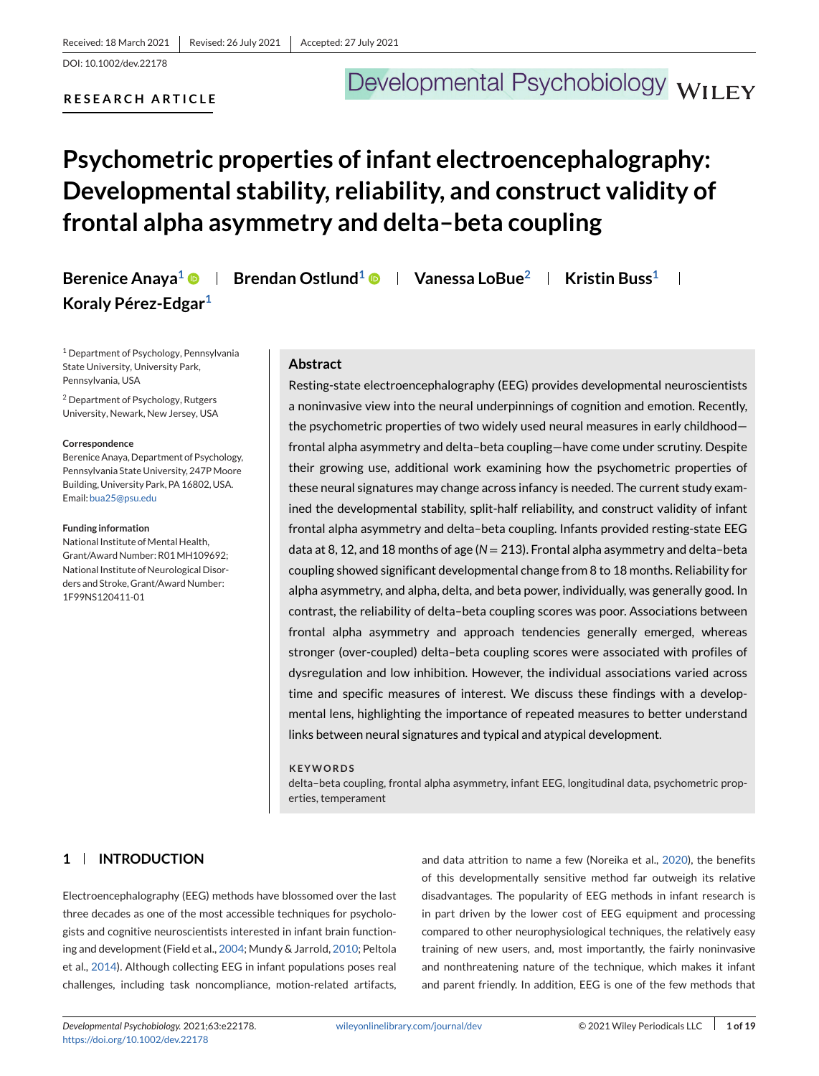DOI: 10.1002/dev.22178

## **RESEARCH ARTICLE**

# Developmental Psychobiology WILEY

## **Psychometric properties of infant electroencephalography: Developmental stability, reliability, and construct validity of frontal alpha asymmetry and delta–beta coupling**

**Berenice Anaya<sup>1</sup> <b>Brendan Ostlund**<sup>1</sup> **B** | Vanessa LoBue<sup>2</sup> | Kristin Buss<sup>1</sup> |

<sup>1</sup> Department of Psychology, Pennsylvania State University, University Park, Pennsylvania, USA

<sup>2</sup> Department of Psychology, Rutgers University, Newark, New Jersey, USA

**Koraly Pérez-Edgar1**

#### **Correspondence**

Berenice Anaya, Department of Psychology, Pennsylvania State University, 247P Moore Building, University Park, PA 16802, USA. Email: [bua25@psu.edu](mailto:bua25@psu.edu)

#### **Funding information**

National Institute of Mental Health, Grant/Award Number: R01MH109692; National Institute of Neurological Disorders and Stroke, Grant/Award Number: 1F99NS120411-01

#### **Abstract**

Resting-state electroencephalography (EEG) provides developmental neuroscientists a noninvasive view into the neural underpinnings of cognition and emotion. Recently, the psychometric properties of two widely used neural measures in early childhood frontal alpha asymmetry and delta–beta coupling—have come under scrutiny. Despite their growing use, additional work examining how the psychometric properties of these neural signatures may change across infancy is needed. The current study examined the developmental stability, split-half reliability, and construct validity of infant frontal alpha asymmetry and delta–beta coupling. Infants provided resting-state EEG data at 8, 12, and 18 months of age (N = 213). Frontal alpha asymmetry and delta-beta coupling showed significant developmental change from 8 to 18 months. Reliability for alpha asymmetry, and alpha, delta, and beta power, individually, was generally good. In contrast, the reliability of delta–beta coupling scores was poor. Associations between frontal alpha asymmetry and approach tendencies generally emerged, whereas stronger (over-coupled) delta–beta coupling scores were associated with profiles of dysregulation and low inhibition. However, the individual associations varied across time and specific measures of interest. We discuss these findings with a developmental lens, highlighting the importance of repeated measures to better understand links between neural signatures and typical and atypical development.

#### **KEYWORDS**

delta–beta coupling, frontal alpha asymmetry, infant EEG, longitudinal data, psychometric properties, temperament

## **1 INTRODUCTION**

Electroencephalography (EEG) methods have blossomed over the last three decades as one of the most accessible techniques for psychologists and cognitive neuroscientists interested in infant brain functioning and development (Field et al., [2004;](#page-16-0) Mundy & Jarrold, [2010;](#page-17-0) Peltola et al., [2014\)](#page-17-0). Although collecting EEG in infant populations poses real challenges, including task noncompliance, motion-related artifacts,

and data attrition to name a few (Noreika et al., [2020\)](#page-17-0), the benefits of this developmentally sensitive method far outweigh its relative disadvantages. The popularity of EEG methods in infant research is in part driven by the lower cost of EEG equipment and processing compared to other neurophysiological techniques, the relatively easy training of new users, and, most importantly, the fairly noninvasive and nonthreatening nature of the technique, which makes it infant and parent friendly. In addition, EEG is one of the few methods that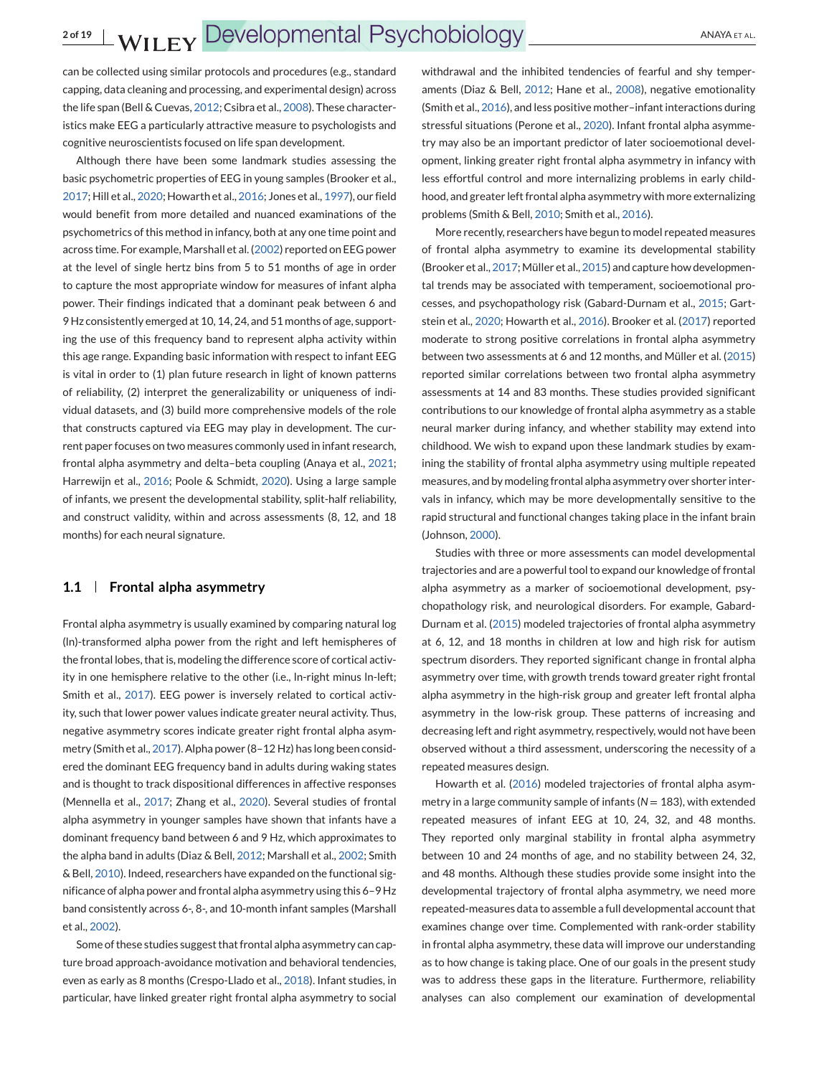can be collected using similar protocols and procedures (e.g., standard capping, data cleaning and processing, and experimental design) across the life span (Bell & Cuevas, [2012;](#page-15-0) Csibra et al., [2008\)](#page-16-0). These characteristics make EEG a particularly attractive measure to psychologists and cognitive neuroscientists focused on life span development.

Although there have been some landmark studies assessing the basic psychometric properties of EEG in young samples (Brooker et al., [2017;](#page-15-0) Hill et al., [2020;](#page-16-0) Howarth et al., [2016;](#page-16-0) Jones et al., [1997\)](#page-16-0), our field would benefit from more detailed and nuanced examinations of the psychometrics of this method in infancy, both at any one time point and across time. For example, Marshall et al. [\(2002\)](#page-17-0) reported on EEG power at the level of single hertz bins from 5 to 51 months of age in order to capture the most appropriate window for measures of infant alpha power. Their findings indicated that a dominant peak between 6 and 9 Hz consistently emerged at 10, 14, 24, and 51 months of age, supporting the use of this frequency band to represent alpha activity within this age range. Expanding basic information with respect to infant EEG is vital in order to (1) plan future research in light of known patterns of reliability, (2) interpret the generalizability or uniqueness of individual datasets, and (3) build more comprehensive models of the role that constructs captured via EEG may play in development. The current paper focuses on two measures commonly used in infant research, frontal alpha asymmetry and delta–beta coupling (Anaya et al., [2021;](#page-15-0) Harrewijn et al., [2016;](#page-16-0) Poole & Schmidt, [2020\)](#page-17-0). Using a large sample of infants, we present the developmental stability, split-half reliability, and construct validity, within and across assessments (8, 12, and 18 months) for each neural signature.

### **1.1 Frontal alpha asymmetry**

Frontal alpha asymmetry is usually examined by comparing natural log (ln)-transformed alpha power from the right and left hemispheres of the frontal lobes, that is, modeling the difference score of cortical activity in one hemisphere relative to the other (i.e., ln-right minus ln-left; Smith et al., [2017\)](#page-17-0). EEG power is inversely related to cortical activity, such that lower power values indicate greater neural activity. Thus, negative asymmetry scores indicate greater right frontal alpha asymmetry (Smith et al., [2017\)](#page-17-0). Alpha power (8–12 Hz) has long been considered the dominant EEG frequency band in adults during waking states and is thought to track dispositional differences in affective responses (Mennella et al., [2017;](#page-17-0) Zhang et al., [2020\)](#page-18-0). Several studies of frontal alpha asymmetry in younger samples have shown that infants have a dominant frequency band between 6 and 9 Hz, which approximates to the alpha band in adults (Diaz & Bell, [2012;](#page-16-0) Marshall et al., [2002;](#page-17-0) Smith & Bell, [2010\)](#page-17-0). Indeed, researchers have expanded on the functional significance of alpha power and frontal alpha asymmetry using this 6–9 Hz band consistently across 6-, 8-, and 10-month infant samples (Marshall et al., [2002\)](#page-17-0).

Some of these studies suggest that frontal alpha asymmetry can capture broad approach-avoidance motivation and behavioral tendencies, even as early as 8 months (Crespo-Llado et al., [2018\)](#page-16-0). Infant studies, in particular, have linked greater right frontal alpha asymmetry to social

withdrawal and the inhibited tendencies of fearful and shy temperaments (Diaz & Bell, [2012;](#page-16-0) Hane et al., [2008\)](#page-16-0), negative emotionality (Smith et al., [2016\)](#page-17-0), and less positive mother–infant interactions during stressful situations (Perone et al., [2020\)](#page-17-0). Infant frontal alpha asymmetry may also be an important predictor of later socioemotional development, linking greater right frontal alpha asymmetry in infancy with less effortful control and more internalizing problems in early childhood, and greater left frontal alpha asymmetry with more externalizing problems (Smith & Bell, [2010;](#page-17-0) Smith et al., [2016\)](#page-17-0).

More recently, researchers have begun to model repeated measures of frontal alpha asymmetry to examine its developmental stability (Brooker et al., [2017;](#page-15-0) Müller et al., [2015\)](#page-17-0) and capture how developmental trends may be associated with temperament, socioemotional processes, and psychopathology risk (Gabard-Durnam et al., [2015;](#page-16-0) Gartstein et al., [2020;](#page-16-0) Howarth et al., [2016\)](#page-16-0). Brooker et al. [\(2017\)](#page-15-0) reported moderate to strong positive correlations in frontal alpha asymmetry between two assessments at 6 and 12 months, and Müller et al. [\(2015\)](#page-17-0) reported similar correlations between two frontal alpha asymmetry assessments at 14 and 83 months. These studies provided significant contributions to our knowledge of frontal alpha asymmetry as a stable neural marker during infancy, and whether stability may extend into childhood. We wish to expand upon these landmark studies by examining the stability of frontal alpha asymmetry using multiple repeated measures, and by modeling frontal alpha asymmetry over shorter intervals in infancy, which may be more developmentally sensitive to the rapid structural and functional changes taking place in the infant brain (Johnson, [2000\)](#page-16-0).

Studies with three or more assessments can model developmental trajectories and are a powerful tool to expand our knowledge of frontal alpha asymmetry as a marker of socioemotional development, psychopathology risk, and neurological disorders. For example, Gabard-Durnam et al. [\(2015\)](#page-16-0) modeled trajectories of frontal alpha asymmetry at 6, 12, and 18 months in children at low and high risk for autism spectrum disorders. They reported significant change in frontal alpha asymmetry over time, with growth trends toward greater right frontal alpha asymmetry in the high-risk group and greater left frontal alpha asymmetry in the low-risk group. These patterns of increasing and decreasing left and right asymmetry, respectively, would not have been observed without a third assessment, underscoring the necessity of a repeated measures design.

Howarth et al. [\(2016\)](#page-16-0) modeled trajectories of frontal alpha asymmetry in a large community sample of infants ( $N = 183$ ), with extended repeated measures of infant EEG at 10, 24, 32, and 48 months. They reported only marginal stability in frontal alpha asymmetry between 10 and 24 months of age, and no stability between 24, 32, and 48 months. Although these studies provide some insight into the developmental trajectory of frontal alpha asymmetry, we need more repeated-measures data to assemble a full developmental account that examines change over time. Complemented with rank-order stability in frontal alpha asymmetry, these data will improve our understanding as to how change is taking place. One of our goals in the present study was to address these gaps in the literature. Furthermore, reliability analyses can also complement our examination of developmental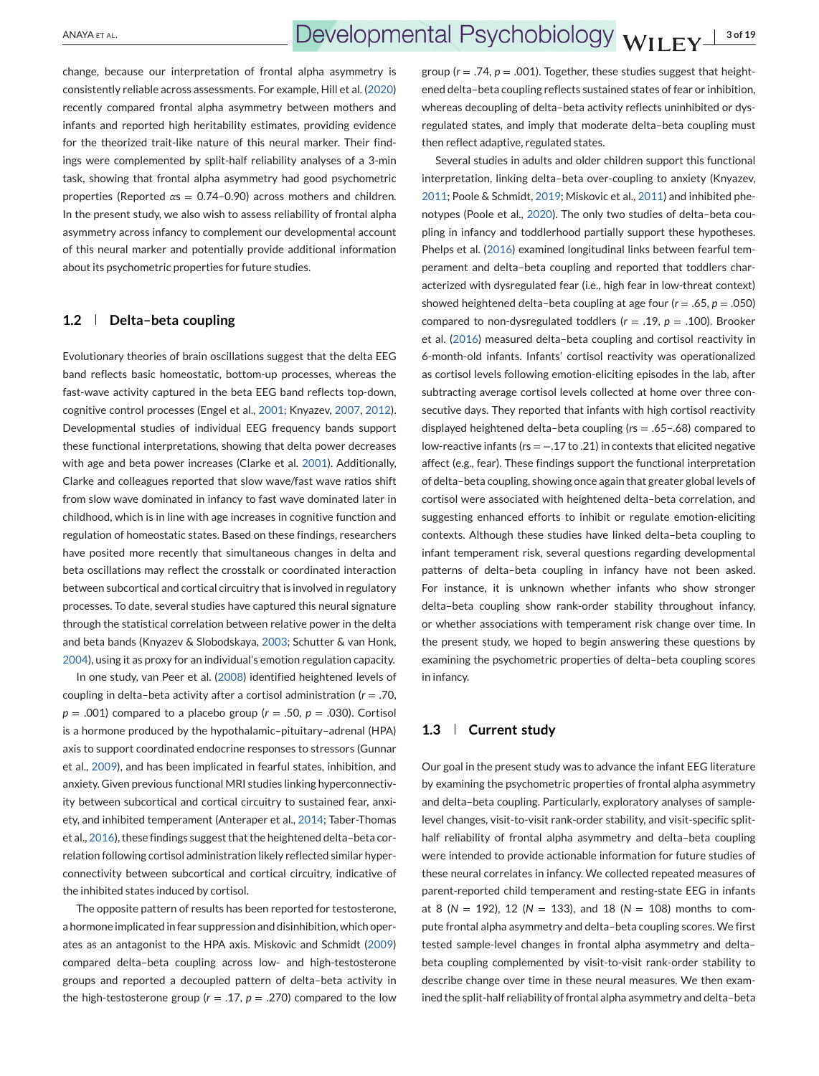change, because our interpretation of frontal alpha asymmetry is consistently reliable across assessments. For example, Hill et al. [\(2020\)](#page-16-0) recently compared frontal alpha asymmetry between mothers and infants and reported high heritability estimates, providing evidence for the theorized trait-like nature of this neural marker. Their findings were complemented by split-half reliability analyses of a 3-min task, showing that frontal alpha asymmetry had good psychometric properties (Reported *α*s = 0.74–0.90) across mothers and children. In the present study, we also wish to assess reliability of frontal alpha asymmetry across infancy to complement our developmental account of this neural marker and potentially provide additional information about its psychometric properties for future studies.

## **1.2 Delta–beta coupling**

Evolutionary theories of brain oscillations suggest that the delta EEG band reflects basic homeostatic, bottom-up processes, whereas the fast-wave activity captured in the beta EEG band reflects top-down, cognitive control processes (Engel et al., [2001;](#page-16-0) Knyazev, [2007,](#page-16-0) [2012\)](#page-16-0). Developmental studies of individual EEG frequency bands support these functional interpretations, showing that delta power decreases with age and beta power increases (Clarke et al. [2001\)](#page-15-0). Additionally, Clarke and colleagues reported that slow wave/fast wave ratios shift from slow wave dominated in infancy to fast wave dominated later in childhood, which is in line with age increases in cognitive function and regulation of homeostatic states. Based on these findings, researchers have posited more recently that simultaneous changes in delta and beta oscillations may reflect the crosstalk or coordinated interaction between subcortical and cortical circuitry that is involved in regulatory processes. To date, several studies have captured this neural signature through the statistical correlation between relative power in the delta and beta bands (Knyazev & Slobodskaya, [2003;](#page-16-0) Schutter & van Honk, [2004\)](#page-17-0), using it as proxy for an individual's emotion regulation capacity.

In one study, van Peer et al. [\(2008\)](#page-17-0) identified heightened levels of coupling in delta–beta activity after a cortisol administration (*r* = .70, *p* = .001) compared to a placebo group (*r* = .50, *p* = .030). Cortisol is a hormone produced by the hypothalamic–pituitary–adrenal (HPA) axis to support coordinated endocrine responses to stressors (Gunnar et al., [2009\)](#page-16-0), and has been implicated in fearful states, inhibition, and anxiety. Given previous functional MRI studies linking hyperconnectivity between subcortical and cortical circuitry to sustained fear, anxiety, and inhibited temperament (Anteraper et al., [2014;](#page-15-0) Taber-Thomas et al., [2016\)](#page-17-0), these findings suggest that the heightened delta–beta correlation following cortisol administration likely reflected similar hyperconnectivity between subcortical and cortical circuitry, indicative of the inhibited states induced by cortisol.

The opposite pattern of results has been reported for testosterone, a hormone implicated in fear suppression and disinhibition, which operates as an antagonist to the HPA axis. Miskovic and Schmidt [\(2009\)](#page-17-0) compared delta–beta coupling across low- and high-testosterone groups and reported a decoupled pattern of delta–beta activity in the high-testosterone group ( $r = .17$ ,  $p = .270$ ) compared to the low

group ( $r = .74$ ,  $p = .001$ ). Together, these studies suggest that heightened delta–beta coupling reflects sustained states of fear or inhibition, whereas decoupling of delta–beta activity reflects uninhibited or dysregulated states, and imply that moderate delta–beta coupling must then reflect adaptive, regulated states.

Several studies in adults and older children support this functional interpretation, linking delta–beta over-coupling to anxiety (Knyazev, [2011;](#page-16-0) Poole & Schmidt, [2019;](#page-17-0) Miskovic et al., [2011\)](#page-17-0) and inhibited phenotypes (Poole et al., [2020\)](#page-17-0). The only two studies of delta–beta coupling in infancy and toddlerhood partially support these hypotheses. Phelps et al. [\(2016\)](#page-17-0) examined longitudinal links between fearful temperament and delta–beta coupling and reported that toddlers characterized with dysregulated fear (i.e., high fear in low-threat context) showed heightened delta–beta coupling at age four (*r* = .65, *p* = .050) compared to non-dysregulated toddlers (*r* = .19, *p* = .100). Brooker et al. [\(2016\)](#page-15-0) measured delta–beta coupling and cortisol reactivity in 6-month-old infants. Infants' cortisol reactivity was operationalized as cortisol levels following emotion-eliciting episodes in the lab, after subtracting average cortisol levels collected at home over three consecutive days. They reported that infants with high cortisol reactivity displayed heightened delta–beta coupling (*r*s = .65–.68) compared to low-reactive infants (*r*s = −.17 to .21) in contexts that elicited negative affect (e.g., fear). These findings support the functional interpretation of delta–beta coupling, showing once again that greater global levels of cortisol were associated with heightened delta–beta correlation, and suggesting enhanced efforts to inhibit or regulate emotion-eliciting contexts. Although these studies have linked delta–beta coupling to infant temperament risk, several questions regarding developmental patterns of delta–beta coupling in infancy have not been asked. For instance, it is unknown whether infants who show stronger delta–beta coupling show rank-order stability throughout infancy, or whether associations with temperament risk change over time. In the present study, we hoped to begin answering these questions by examining the psychometric properties of delta–beta coupling scores in infancy.

## **1.3 Current study**

Our goal in the present study was to advance the infant EEG literature by examining the psychometric properties of frontal alpha asymmetry and delta–beta coupling. Particularly, exploratory analyses of samplelevel changes, visit-to-visit rank-order stability, and visit-specific splithalf reliability of frontal alpha asymmetry and delta–beta coupling were intended to provide actionable information for future studies of these neural correlates in infancy. We collected repeated measures of parent-reported child temperament and resting-state EEG in infants at 8 (*N* = 192), 12 (*N* = 133), and 18 (*N* = 108) months to compute frontal alpha asymmetry and delta–beta coupling scores. We first tested sample-level changes in frontal alpha asymmetry and delta– beta coupling complemented by visit-to-visit rank-order stability to describe change over time in these neural measures. We then examined the split-half reliability of frontal alpha asymmetry and delta–beta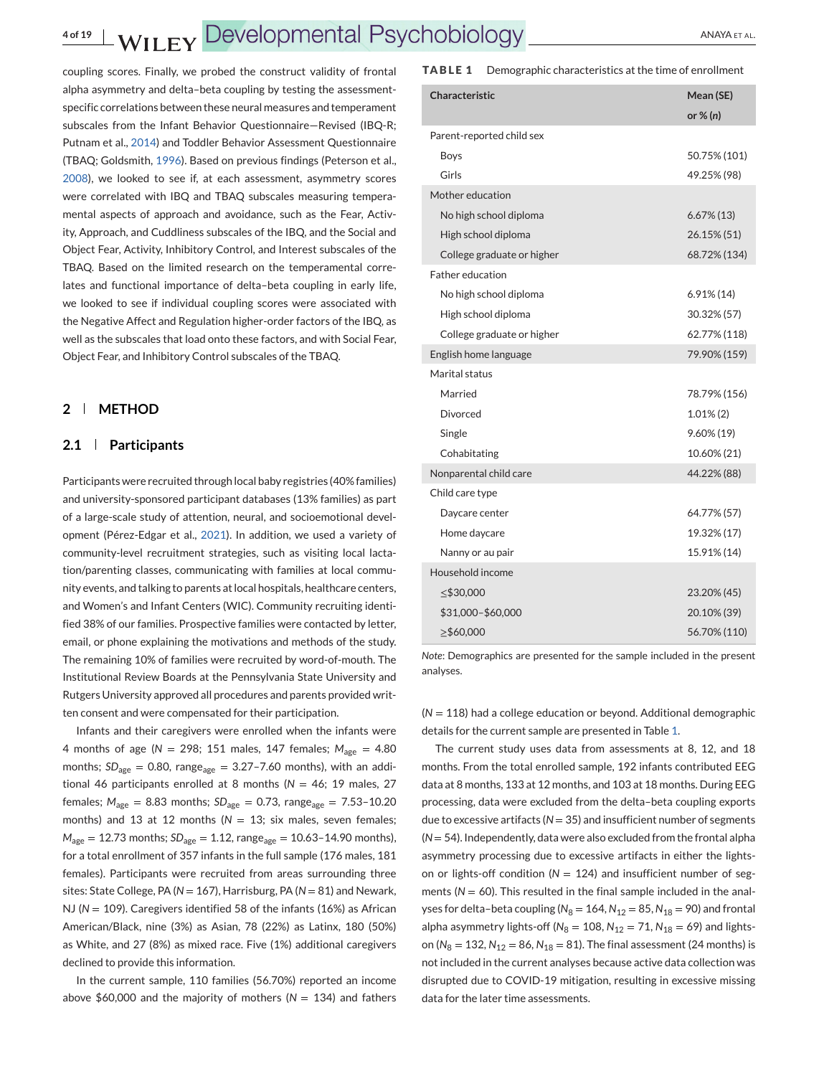coupling scores. Finally, we probed the construct validity of frontal alpha asymmetry and delta–beta coupling by testing the assessmentspecific correlations between these neural measures and temperament subscales from the Infant Behavior Questionnaire—Revised (IBQ-R; Putnam et al., [2014\)](#page-17-0) and Toddler Behavior Assessment Questionnaire (TBAQ; Goldsmith, [1996\)](#page-16-0). Based on previous findings (Peterson et al., [2008\)](#page-17-0), we looked to see if, at each assessment, asymmetry scores were correlated with IBQ and TBAQ subscales measuring temperamental aspects of approach and avoidance, such as the Fear, Activity, Approach, and Cuddliness subscales of the IBQ, and the Social and Object Fear, Activity, Inhibitory Control, and Interest subscales of the TBAQ. Based on the limited research on the temperamental correlates and functional importance of delta–beta coupling in early life, we looked to see if individual coupling scores were associated with the Negative Affect and Regulation higher-order factors of the IBQ, as well as the subscales that load onto these factors, and with Social Fear, Object Fear, and Inhibitory Control subscales of the TBAQ.

## **2 METHOD**

#### **2.1 Participants**

Participants were recruited through local baby registries (40% families) and university-sponsored participant databases (13% families) as part of a large-scale study of attention, neural, and socioemotional development (Pérez-Edgar et al., [2021\)](#page-17-0). In addition, we used a variety of community-level recruitment strategies, such as visiting local lactation/parenting classes, communicating with families at local community events, and talking to parents at local hospitals, healthcare centers, and Women's and Infant Centers (WIC). Community recruiting identified 38% of our families. Prospective families were contacted by letter, email, or phone explaining the motivations and methods of the study. The remaining 10% of families were recruited by word-of-mouth. The Institutional Review Boards at the Pennsylvania State University and Rutgers University approved all procedures and parents provided written consent and were compensated for their participation.

Infants and their caregivers were enrolled when the infants were 4 months of age (*N* = 298; 151 males, 147 females; *M*age = 4.80 months;  $SD<sub>age</sub> = 0.80$ , range<sub>age</sub> = 3.27-7.60 months), with an additional 46 participants enrolled at 8 months (*N* = 46; 19 males, 27 females;  $M_{\text{age}} = 8.83$  months;  $SD_{\text{age}} = 0.73$ , range<sub>age</sub> = 7.53-10.20 months) and 13 at 12 months (*N* = 13; six males, seven females;  $M_{\text{age}} = 12.73$  months;  $SD_{\text{age}} = 1.12$ , range<sub>age</sub> = 10.63-14.90 months), for a total enrollment of 357 infants in the full sample (176 males, 181 females). Participants were recruited from areas surrounding three sites: State College, PA (*N* = 167), Harrisburg, PA (*N* = 81) and Newark, NJ (*N* = 109). Caregivers identified 58 of the infants (16%) as African American/Black, nine (3%) as Asian, 78 (22%) as Latinx, 180 (50%) as White, and 27 (8%) as mixed race. Five (1%) additional caregivers declined to provide this information.

In the current sample, 110 families (56.70%) reported an income above  $$60,000$  and the majority of mothers ( $N = 134$ ) and fathers

#### **TABLE 1** Demographic characteristics at the time of enrollment

| Characteristic             | Mean (SE)      |
|----------------------------|----------------|
|                            | or $\%$ (n)    |
| Parent-reported child sex  |                |
| <b>Boys</b>                | 50.75% (101)   |
| Girls                      | 49.25% (98)    |
| Mother education           |                |
| No high school diploma     | $6.67\%$ (13)  |
| High school diploma        | 26.15% (51)    |
| College graduate or higher | 68.72% (134)   |
| <b>Father education</b>    |                |
| No high school diploma     | $6.91\%$ (14)  |
| High school diploma        | 30.32% (57)    |
| College graduate or higher | 62.77% (118)   |
| English home language      | 79.90% (159)   |
| Marital status             |                |
| Married                    | 78.79% (156)   |
| Divorced                   | $1.01\%$ $(2)$ |
| Single                     | $9.60\% (19)$  |
| Cohabitating               | 10.60% (21)    |
| Nonparental child care     | 44.22% (88)    |
| Child care type            |                |
| Daycare center             | 64.77% (57)    |
| Home daycare               | 19.32% (17)    |
| Nanny or au pair           | 15.91% (14)    |
| Household income           |                |
| $\leq$ \$30,000            | 23.20% (45)    |
| \$31,000-\$60,000          | 20.10% (39)    |
| ≥\$60,000                  | 56.70% (110)   |

*Note*: Demographics are presented for the sample included in the present analyses.

(*N* = 118) had a college education or beyond. Additional demographic details for the current sample are presented in Table 1.

The current study uses data from assessments at 8, 12, and 18 months. From the total enrolled sample, 192 infants contributed EEG data at 8 months, 133 at 12 months, and 103 at 18 months. During EEG processing, data were excluded from the delta–beta coupling exports due to excessive artifacts (N = 35) and insufficient number of segments (*N* = 54). Independently, data were also excluded from the frontal alpha asymmetry processing due to excessive artifacts in either the lightson or lights-off condition ( $N = 124$ ) and insufficient number of segments ( $N = 60$ ). This resulted in the final sample included in the analyses for delta-beta coupling ( $N_8 = 164$ ,  $N_{12} = 85$ ,  $N_{18} = 90$ ) and frontal alpha asymmetry lights-off ( $N_8 = 108$ ,  $N_{12} = 71$ ,  $N_{18} = 69$ ) and lightson ( $N_8 = 132$ ,  $N_{12} = 86$ ,  $N_{18} = 81$ ). The final assessment (24 months) is not included in the current analyses because active data collection was disrupted due to COVID-19 mitigation, resulting in excessive missing data for the later time assessments.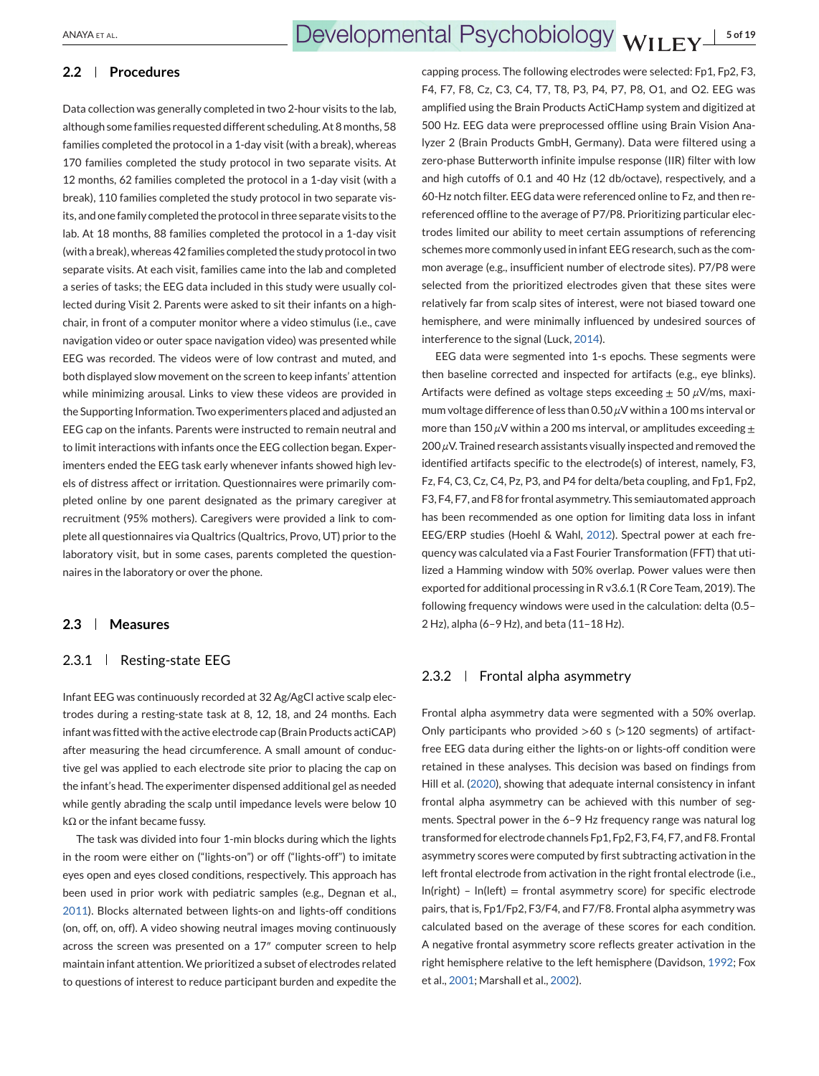## **2.2 Procedures**

Data collection was generally completed in two 2-hour visits to the lab, although some families requested different scheduling. At 8 months, 58 families completed the protocol in a 1-day visit (with a break), whereas 170 families completed the study protocol in two separate visits. At 12 months, 62 families completed the protocol in a 1-day visit (with a break), 110 families completed the study protocol in two separate visits, and one family completed the protocol in three separate visits to the lab. At 18 months, 88 families completed the protocol in a 1-day visit (with a break), whereas 42 families completed the study protocol in two separate visits. At each visit, families came into the lab and completed a series of tasks; the EEG data included in this study were usually collected during Visit 2. Parents were asked to sit their infants on a highchair, in front of a computer monitor where a video stimulus (i.e., cave navigation video or outer space navigation video) was presented while EEG was recorded. The videos were of low contrast and muted, and both displayed slow movement on the screen to keep infants' attention while minimizing arousal. Links to view these videos are provided in the Supporting Information. Two experimenters placed and adjusted an EEG cap on the infants. Parents were instructed to remain neutral and to limit interactions with infants once the EEG collection began. Experimenters ended the EEG task early whenever infants showed high levels of distress affect or irritation. Questionnaires were primarily completed online by one parent designated as the primary caregiver at recruitment (95% mothers). Caregivers were provided a link to complete all questionnaires via Qualtrics (Qualtrics, Provo, UT) prior to the laboratory visit, but in some cases, parents completed the questionnaires in the laboratory or over the phone.

#### **2.3 Measures**

## 2.3.1 | Resting-state EEG

Infant EEG was continuously recorded at 32 Ag/AgCl active scalp electrodes during a resting-state task at 8, 12, 18, and 24 months. Each infant was fitted with the active electrode cap (Brain Products actiCAP) after measuring the head circumference. A small amount of conductive gel was applied to each electrode site prior to placing the cap on the infant's head. The experimenter dispensed additional gel as needed while gently abrading the scalp until impedance levels were below 10 kΩ or the infant became fussy.

The task was divided into four 1-min blocks during which the lights in the room were either on ("lights-on") or off ("lights-off") to imitate eyes open and eyes closed conditions, respectively. This approach has been used in prior work with pediatric samples (e.g., Degnan et al., [2011\)](#page-16-0). Blocks alternated between lights-on and lights-off conditions (on, off, on, off). A video showing neutral images moving continuously across the screen was presented on a 17″ computer screen to help maintain infant attention. We prioritized a subset of electrodes related to questions of interest to reduce participant burden and expedite the

capping process. The following electrodes were selected: Fp1, Fp2, F3, F4, F7, F8, Cz, C3, C4, T7, T8, P3, P4, P7, P8, O1, and O2. EEG was amplified using the Brain Products ActiCHamp system and digitized at 500 Hz. EEG data were preprocessed offline using Brain Vision Analyzer 2 (Brain Products GmbH, Germany). Data were filtered using a zero-phase Butterworth infinite impulse response (IIR) filter with low and high cutoffs of 0.1 and 40 Hz (12 db/octave), respectively, and a 60-Hz notch filter. EEG data were referenced online to Fz, and then rereferenced offline to the average of P7/P8. Prioritizing particular electrodes limited our ability to meet certain assumptions of referencing schemes more commonly used in infant EEG research, such as the common average (e.g., insufficient number of electrode sites). P7/P8 were selected from the prioritized electrodes given that these sites were relatively far from scalp sites of interest, were not biased toward one hemisphere, and were minimally influenced by undesired sources of interference to the signal (Luck, [2014\)](#page-16-0).

EEG data were segmented into 1-s epochs. These segments were then baseline corrected and inspected for artifacts (e.g., eye blinks). Artifacts were defined as voltage steps exceeding ± 50 *μ*V/ms, maximum voltage difference of less than 0.50 *μ*V within a 100 ms interval or more than 150 *μ*V within a 200 ms interval, or amplitudes exceeding  $±$ 200 *μ*V. Trained research assistants visually inspected and removed the identified artifacts specific to the electrode(s) of interest, namely, F3, Fz, F4, C3, Cz, C4, Pz, P3, and P4 for delta/beta coupling, and Fp1, Fp2, F3, F4, F7, and F8 for frontal asymmetry. This semiautomated approach has been recommended as one option for limiting data loss in infant EEG/ERP studies (Hoehl & Wahl, [2012\)](#page-16-0). Spectral power at each frequency was calculated via a Fast Fourier Transformation (FFT) that utilized a Hamming window with 50% overlap. Power values were then exported for additional processing in R v3.6.1 (R Core Team, 2019). The following frequency windows were used in the calculation: delta (0.5– 2 Hz), alpha (6–9 Hz), and beta (11–18 Hz).

## 2.3.2  $\parallel$  Frontal alpha asymmetry

Frontal alpha asymmetry data were segmented with a 50% overlap. Only participants who provided  $>60$  s ( $>120$  segments) of artifactfree EEG data during either the lights-on or lights-off condition were retained in these analyses. This decision was based on findings from Hill et al. [\(2020\)](#page-16-0), showing that adequate internal consistency in infant frontal alpha asymmetry can be achieved with this number of segments. Spectral power in the 6–9 Hz frequency range was natural log transformed for electrode channels Fp1, Fp2, F3, F4, F7, and F8. Frontal asymmetry scores were computed by first subtracting activation in the left frontal electrode from activation in the right frontal electrode (i.e.,  $ln(right) - ln(left) = frontal$  asymmetry score) for specific electrode pairs, that is, Fp1/Fp2, F3/F4, and F7/F8. Frontal alpha asymmetry was calculated based on the average of these scores for each condition. A negative frontal asymmetry score reflects greater activation in the right hemisphere relative to the left hemisphere (Davidson, [1992;](#page-16-0) Fox et al., [2001;](#page-16-0) Marshall et al., [2002\)](#page-17-0).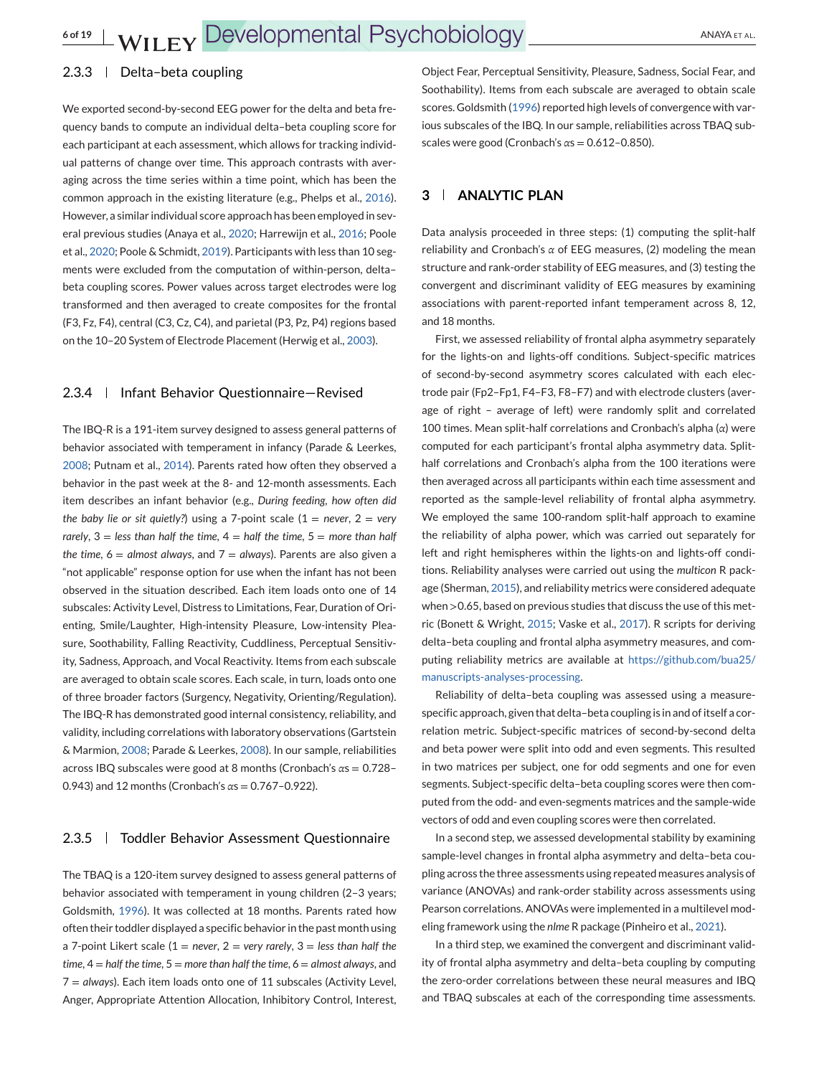## 2.3.3 | Delta-beta coupling

We exported second-by-second EEG power for the delta and beta frequency bands to compute an individual delta–beta coupling score for each participant at each assessment, which allows for tracking individual patterns of change over time. This approach contrasts with averaging across the time series within a time point, which has been the common approach in the existing literature (e.g., Phelps et al., [2016\)](#page-17-0). However, a similar individual score approach has been employed in several previous studies (Anaya et al., [2020;](#page-15-0) Harrewijn et al., [2016;](#page-16-0) Poole et al., [2020;](#page-17-0) Poole & Schmidt, [2019\)](#page-17-0). Participants with less than 10 segments were excluded from the computation of within-person, delta– beta coupling scores. Power values across target electrodes were log transformed and then averaged to create composites for the frontal (F3, Fz, F4), central (C3, Cz, C4), and parietal (P3, Pz, P4) regions based on the 10–20 System of Electrode Placement (Herwig et al., [2003\)](#page-16-0).

#### 2.3.4 | Infant Behavior Questionnaire-Revised

The IBQ-R is a 191-item survey designed to assess general patterns of behavior associated with temperament in infancy (Parade & Leerkes, [2008;](#page-17-0) Putnam et al., [2014\)](#page-17-0). Parents rated how often they observed a behavior in the past week at the 8- and 12-month assessments. Each item describes an infant behavior (e.g., *During feeding, how often did the baby lie or sit quietly?*) using a 7-point scale  $(1 =$  *never*,  $2 =$  *very rarely*, 3 = *less than half the time*, 4 = *half the time*, 5 = *more than half the time,*  $6 =$  *almost always, and*  $7 =$  *always). Parents are also given a* "not applicable" response option for use when the infant has not been observed in the situation described. Each item loads onto one of 14 subscales: Activity Level, Distress to Limitations, Fear, Duration of Orienting, Smile/Laughter, High-intensity Pleasure, Low-intensity Pleasure, Soothability, Falling Reactivity, Cuddliness, Perceptual Sensitivity, Sadness, Approach, and Vocal Reactivity. Items from each subscale are averaged to obtain scale scores. Each scale, in turn, loads onto one of three broader factors (Surgency, Negativity, Orienting/Regulation). The IBQ-R has demonstrated good internal consistency, reliability, and validity, including correlations with laboratory observations (Gartstein & Marmion, [2008;](#page-16-0) Parade & Leerkes, [2008\)](#page-17-0). In our sample, reliabilities across IBQ subscales were good at 8 months (Cronbach's *α*s = 0.728– 0.943) and 12 months (Cronbach's *α*s = 0.767–0.922).

#### 2.3.5 Toddler Behavior Assessment Questionnaire

The TBAQ is a 120-item survey designed to assess general patterns of behavior associated with temperament in young children (2–3 years; Goldsmith, [1996\)](#page-16-0). It was collected at 18 months. Parents rated how often their toddler displayed a specific behavior in the past month using a 7-point Likert scale (1 = *never*, 2 = *very rarely*, 3 = *less than half the time*, 4 = *half the time*, 5 = *more than half the time*, 6 = *almost always*, and 7 = *always*). Each item loads onto one of 11 subscales (Activity Level, Anger, Appropriate Attention Allocation, Inhibitory Control, Interest,

Object Fear, Perceptual Sensitivity, Pleasure, Sadness, Social Fear, and Soothability). Items from each subscale are averaged to obtain scale scores. Goldsmith [\(1996\)](#page-16-0) reported high levels of convergence with various subscales of the IBQ. In our sample, reliabilities across TBAQ subscales were good (Cronbach's *α*s = 0.612–0.850).

## **3 ANALYTIC PLAN**

Data analysis proceeded in three steps: (1) computing the split-half reliability and Cronbach's *α* of EEG measures, (2) modeling the mean structure and rank-order stability of EEG measures, and (3) testing the convergent and discriminant validity of EEG measures by examining associations with parent-reported infant temperament across 8, 12, and 18 months.

First, we assessed reliability of frontal alpha asymmetry separately for the lights-on and lights-off conditions. Subject-specific matrices of second-by-second asymmetry scores calculated with each electrode pair (Fp2–Fp1, F4–F3, F8–F7) and with electrode clusters (average of right – average of left) were randomly split and correlated 100 times. Mean split-half correlations and Cronbach's alpha (*α*) were computed for each participant's frontal alpha asymmetry data. Splithalf correlations and Cronbach's alpha from the 100 iterations were then averaged across all participants within each time assessment and reported as the sample-level reliability of frontal alpha asymmetry. We employed the same 100-random split-half approach to examine the reliability of alpha power, which was carried out separately for left and right hemispheres within the lights-on and lights-off conditions. Reliability analyses were carried out using the *multicon* R package (Sherman, [2015\)](#page-17-0), and reliability metrics were considered adequate when >0.65, based on previous studies that discuss the use of this metric (Bonett & Wright, [2015;](#page-15-0) Vaske et al., [2017\)](#page-18-0). R scripts for deriving delta–beta coupling and frontal alpha asymmetry measures, and computing reliability metrics are available at [https://github.com/bua25/](https://github.com/bua25/manuscripts-analyses-processing) [manuscripts-analyses-processing.](https://github.com/bua25/manuscripts-analyses-processing)

Reliability of delta–beta coupling was assessed using a measurespecific approach, given that delta–beta coupling is in and of itself a correlation metric. Subject-specific matrices of second-by-second delta and beta power were split into odd and even segments. This resulted in two matrices per subject, one for odd segments and one for even segments. Subject-specific delta–beta coupling scores were then computed from the odd- and even-segments matrices and the sample-wide vectors of odd and even coupling scores were then correlated.

In a second step, we assessed developmental stability by examining sample-level changes in frontal alpha asymmetry and delta–beta coupling across the three assessments using repeated measures analysis of variance (ANOVAs) and rank-order stability across assessments using Pearson correlations. ANOVAs were implemented in a multilevel modeling framework using the *nlme* R package (Pinheiro et al., [2021\)](#page-17-0).

In a third step, we examined the convergent and discriminant validity of frontal alpha asymmetry and delta–beta coupling by computing the zero-order correlations between these neural measures and IBQ and TBAQ subscales at each of the corresponding time assessments.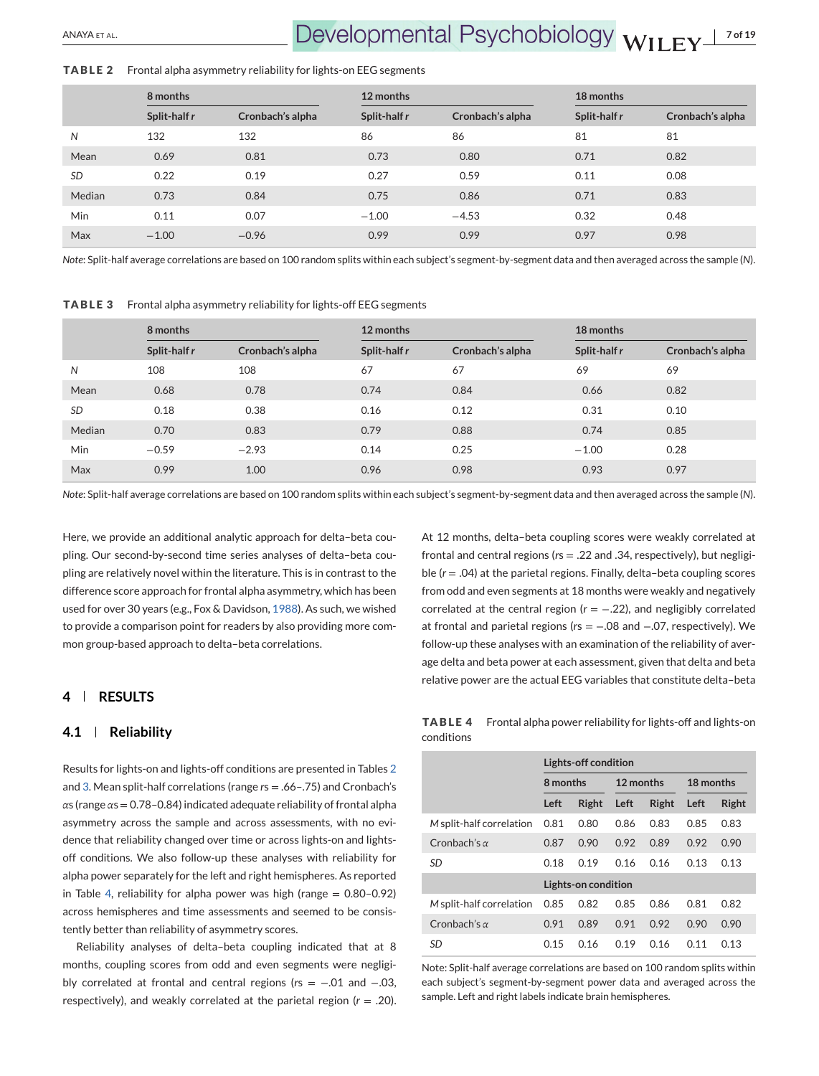# ANAYA ET AL. **7 of 19**

#### **TABLE 2** Frontal alpha asymmetry reliability for lights-on EEG segments

|           | 8 months     |                  | 12 months    |                  | 18 months    |                  |
|-----------|--------------|------------------|--------------|------------------|--------------|------------------|
|           | Split-half r | Cronbach's alpha | Split-half r | Cronbach's alpha | Split-half r | Cronbach's alpha |
| N         | 132          | 132              | 86           | 86               | 81           | 81               |
| Mean      | 0.69         | 0.81             | 0.73         | 0.80             | 0.71         | 0.82             |
| <b>SD</b> | 0.22         | 0.19             | 0.27         | 0.59             | 0.11         | 0.08             |
| Median    | 0.73         | 0.84             | 0.75         | 0.86             | 0.71         | 0.83             |
| Min       | 0.11         | 0.07             | $-1.00$      | $-4.53$          | 0.32         | 0.48             |
| Max       | $-1.00$      | $-0.96$          | 0.99         | 0.99             | 0.97         | 0.98             |

*Note*: Split-half average correlations are based on 100 random splits within each subject's segment-by-segment data and then averaged across the sample (*N*).

**TABLE 3** Frontal alpha asymmetry reliability for lights-off EEG segments

|           | 8 months     |                  | 12 months    |                  | 18 months    |                  |
|-----------|--------------|------------------|--------------|------------------|--------------|------------------|
|           | Split-half r | Cronbach's alpha | Split-half r | Cronbach's alpha | Split-half r | Cronbach's alpha |
| N         | 108          | 108              | 67           | 67               | 69           | 69               |
| Mean      | 0.68         | 0.78             | 0.74         | 0.84             | 0.66         | 0.82             |
| <b>SD</b> | 0.18         | 0.38             | 0.16         | 0.12             | 0.31         | 0.10             |
| Median    | 0.70         | 0.83             | 0.79         | 0.88             | 0.74         | 0.85             |
| Min       | $-0.59$      | $-2.93$          | 0.14         | 0.25             | $-1.00$      | 0.28             |
| Max       | 0.99         | 1.00             | 0.96         | 0.98             | 0.93         | 0.97             |

*Note*: Split-half average correlations are based on 100 random splits within each subject's segment-by-segment data and then averaged across the sample (*N*).

Here, we provide an additional analytic approach for delta–beta coupling. Our second-by-second time series analyses of delta–beta coupling are relatively novel within the literature. This is in contrast to the difference score approach for frontal alpha asymmetry, which has been used for over 30 years (e.g., Fox & Davidson, [1988\)](#page-16-0). As such, we wished to provide a comparison point for readers by also providing more common group-based approach to delta–beta correlations.

## **4 RESULTS**

#### **4.1 Reliability**

Results for lights-on and lights-off conditions are presented in Tables 2 and 3. Mean split-half correlations (range *r*s = .66–.75) and Cronbach's *α*s (range *α*s = 0.78–0.84) indicated adequate reliability of frontal alpha asymmetry across the sample and across assessments, with no evidence that reliability changed over time or across lights-on and lightsoff conditions. We also follow-up these analyses with reliability for alpha power separately for the left and right hemispheres. As reported in Table 4, reliability for alpha power was high (range  $= 0.80 - 0.92$ ) across hemispheres and time assessments and seemed to be consistently better than reliability of asymmetry scores.

Reliability analyses of delta–beta coupling indicated that at 8 months, coupling scores from odd and even segments were negligibly correlated at frontal and central regions (*r*s = −.01 and −.03, respectively), and weakly correlated at the parietal region (*r* = .20). At 12 months, delta–beta coupling scores were weakly correlated at frontal and central regions (*r*s = .22 and .34, respectively), but negligible (*r* = .04) at the parietal regions. Finally, delta–beta coupling scores from odd and even segments at 18 months were weakly and negatively correlated at the central region (*r* = −.22), and negligibly correlated at frontal and parietal regions (*r*s = −.08 and −.07, respectively). We follow-up these analyses with an examination of the reliability of average delta and beta power at each assessment, given that delta and beta relative power are the actual EEG variables that constitute delta–beta

**TABLE 4** Frontal alpha power reliability for lights-off and lights-on conditions

|                          | Lights-off condition |                     |           |       |           |       |  |
|--------------------------|----------------------|---------------------|-----------|-------|-----------|-------|--|
|                          | 8 months             |                     | 12 months |       | 18 months |       |  |
|                          | Left                 | Right               | Left      | Right | Left      | Right |  |
| M split-half correlation | 0.81                 | 0.80                | 0.86      | 0.83  | 0.85      | 0.83  |  |
| Cronbach's $\alpha$      | 0.87                 | 0.90                | 0.92      | 0.89  | 0.92      | 0.90  |  |
| SD                       | 0.18                 | 0.19                | 0.16      | 0.16  | 0.13      | 0.13  |  |
|                          |                      | Lights-on condition |           |       |           |       |  |
| M split-half correlation | 0.85                 | 0.82                | 0.85      | 0.86  | 0.81      | 0.82  |  |
| Cronbach's $\alpha$      | 0.91                 | 0.89                | 0.91      | 0.92  | 0.90      | 0.90  |  |
| <b>SD</b>                | 0.15                 | 0.16                | 0.19      | 0.16  | 0.11      | 0.13  |  |

Note: Split-half average correlations are based on 100 random splits within each subject's segment-by-segment power data and averaged across the sample. Left and right labels indicate brain hemispheres.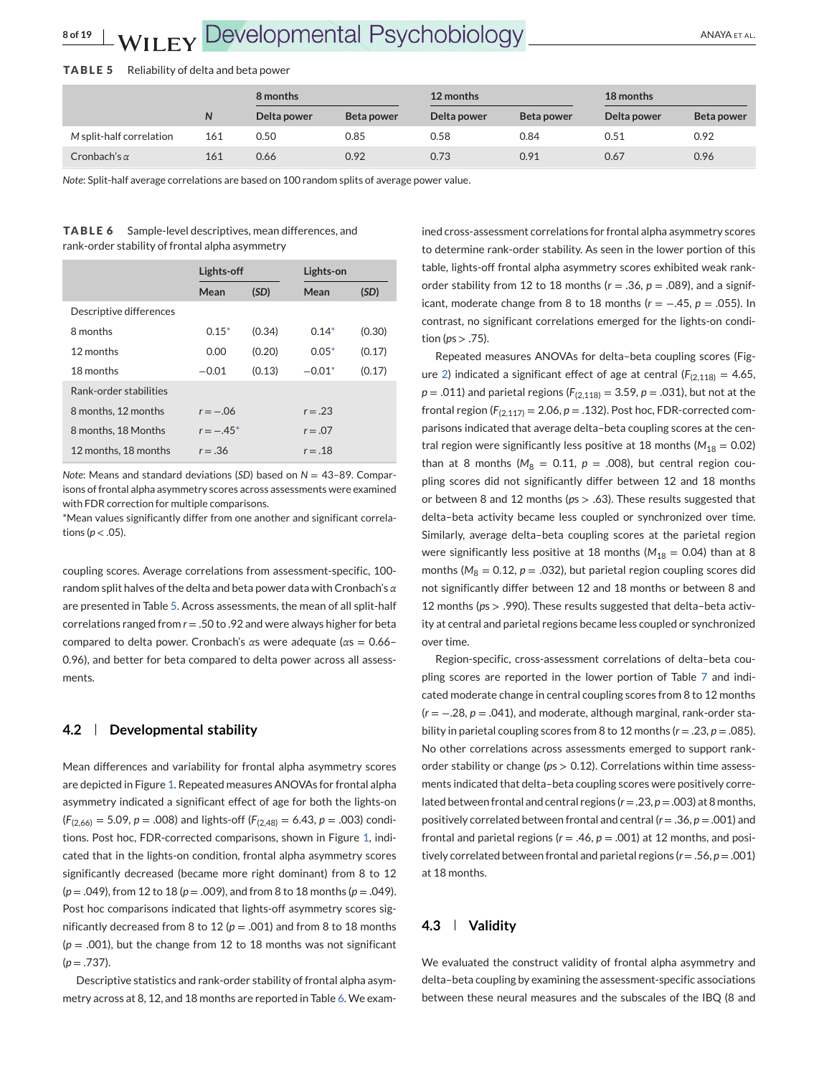|                          |     | 8 months    |            | 12 months   |            | 18 months   |            |
|--------------------------|-----|-------------|------------|-------------|------------|-------------|------------|
|                          | N   | Delta power | Beta power | Delta power | Beta power | Delta power | Beta power |
| M split-half correlation | 161 | 0.50        | 0.85       | 0.58        | 0.84       | 0.51        | 0.92       |
| Cronbach's $\alpha$      | 161 | 0.66        | 0.92       | 0.73        | 0.91       | 0.67        | 0.96       |

*Note*: Split-half average correlations are based on 100 random splits of average power value.

**TABLE 6** Sample-level descriptives, mean differences, and rank-order stability of frontal alpha asymmetry

|                         | Lights-off |        | Lights-on  |        |
|-------------------------|------------|--------|------------|--------|
|                         | Mean       | (SD)   | Mean       | (SD)   |
| Descriptive differences |            |        |            |        |
| 8 months                | $0.15*$    | (0.34) | $0.14*$    | (0.30) |
| 12 months               | 0.00       | (0.20) | $0.05*$    | (0.17) |
| 18 months               | $-0.01$    | (0.13) | $-0.01*$   | (0.17) |
| Rank-order stabilities  |            |        |            |        |
| 8 months, 12 months     | $r = -06$  |        | $r = .23$  |        |
| 8 months, 18 Months     | $r = -45*$ |        | $r = 0.07$ |        |
| 12 months, 18 months    | $r = .36$  |        | $r = .18$  |        |

*Note*: Means and standard deviations (*SD*) based on *N* = 43–89. Comparisons of frontal alpha asymmetry scores across assessments were examined with FDR correction for multiple comparisons.

\*Mean values significantly differ from one another and significant correlations ( $p < .05$ ).

coupling scores. Average correlations from assessment-specific, 100 random split halves of the delta and beta power data with Cronbach's *α* are presented in Table 5. Across assessments, the mean of all split-half correlations ranged from *r* = .50 to .92 and were always higher for beta compared to delta power. Cronbach's *α*s were adequate (*α*s = 0.66– 0.96), and better for beta compared to delta power across all assessments.

## **4.2 Developmental stability**

Mean differences and variability for frontal alpha asymmetry scores are depicted in Figure [1.](#page-8-0) Repeated measures ANOVAs for frontal alpha asymmetry indicated a significant effect of age for both the lights-on  $(F_{(2,66)} = 5.09, p = .008)$  and lights-off  $(F_{(2,48)} = 6.43, p = .003)$  conditions. Post hoc, FDR-corrected comparisons, shown in Figure [1,](#page-8-0) indicated that in the lights-on condition, frontal alpha asymmetry scores significantly decreased (became more right dominant) from 8 to 12 (*p* = .049), from 12 to 18 (*p* = .009), and from 8 to 18 months (*p* = .049). Post hoc comparisons indicated that lights-off asymmetry scores significantly decreased from 8 to 12 ( $p = .001$ ) and from 8 to 18 months  $(p = .001)$ , but the change from 12 to 18 months was not significant  $(p=.737)$ .

Descriptive statistics and rank-order stability of frontal alpha asymmetry across at 8, 12, and 18 months are reported in Table 6. We examined cross-assessment correlations for frontal alpha asymmetry scores to determine rank-order stability. As seen in the lower portion of this table, lights-off frontal alpha asymmetry scores exhibited weak rankorder stability from 12 to 18 months  $(r = .36, p = .089)$ , and a significant, moderate change from 8 to 18 months (*r* = −.45, *p* = .055). In contrast, no significant correlations emerged for the lights-on condition ( $ps > .75$ ).

Repeated measures ANOVAs for delta–beta coupling scores (Fig-ure [2\)](#page-9-0) indicated a significant effect of age at central  $(F<sub>(2,118)</sub> = 4.65)$ ,  $p = .011$ ) and parietal regions ( $F_{(2,118)} = 3.59$ ,  $p = .031$ ), but not at the frontal region ( $F_{(2,117)} = 2.06$ ,  $p = .132$ ). Post hoc, FDR-corrected comparisons indicated that average delta–beta coupling scores at the central region were significantly less positive at 18 months ( $M_{18} = 0.02$ ) than at 8 months ( $M_8 = 0.11$ ,  $p = .008$ ), but central region coupling scores did not significantly differ between 12 and 18 months or between 8 and 12 months (*p*s > .63). These results suggested that delta–beta activity became less coupled or synchronized over time. Similarly, average delta–beta coupling scores at the parietal region were significantly less positive at 18 months ( $M_{18} = 0.04$ ) than at 8 months ( $M_8 = 0.12$ ,  $p = .032$ ), but parietal region coupling scores did not significantly differ between 12 and 18 months or between 8 and 12 months (*p*s > .990). These results suggested that delta–beta activity at central and parietal regions became less coupled or synchronized over time.

Region-specific, cross-assessment correlations of delta–beta coupling scores are reported in the lower portion of Table [7](#page-10-0) and indicated moderate change in central coupling scores from 8 to 12 months (*r* = −.28, *p* = .041), and moderate, although marginal, rank-order stability in parietal coupling scores from 8 to 12 months (*r* = .23, *p* = .085). No other correlations across assessments emerged to support rankorder stability or change (*p*s > 0.12). Correlations within time assessments indicated that delta–beta coupling scores were positively correlated between frontal and central regions ( $r = .23$ ,  $p = .003$ ) at 8 months, positively correlated between frontal and central (*r* = .36, *p* = .001) and frontal and parietal regions ( $r = .46$ ,  $p = .001$ ) at 12 months, and positively correlated between frontal and parietal regions (*r* = .56, *p* = .001) at 18 months.

## **4.3 Validity**

We evaluated the construct validity of frontal alpha asymmetry and delta–beta coupling by examining the assessment-specific associations between these neural measures and the subscales of the IBQ (8 and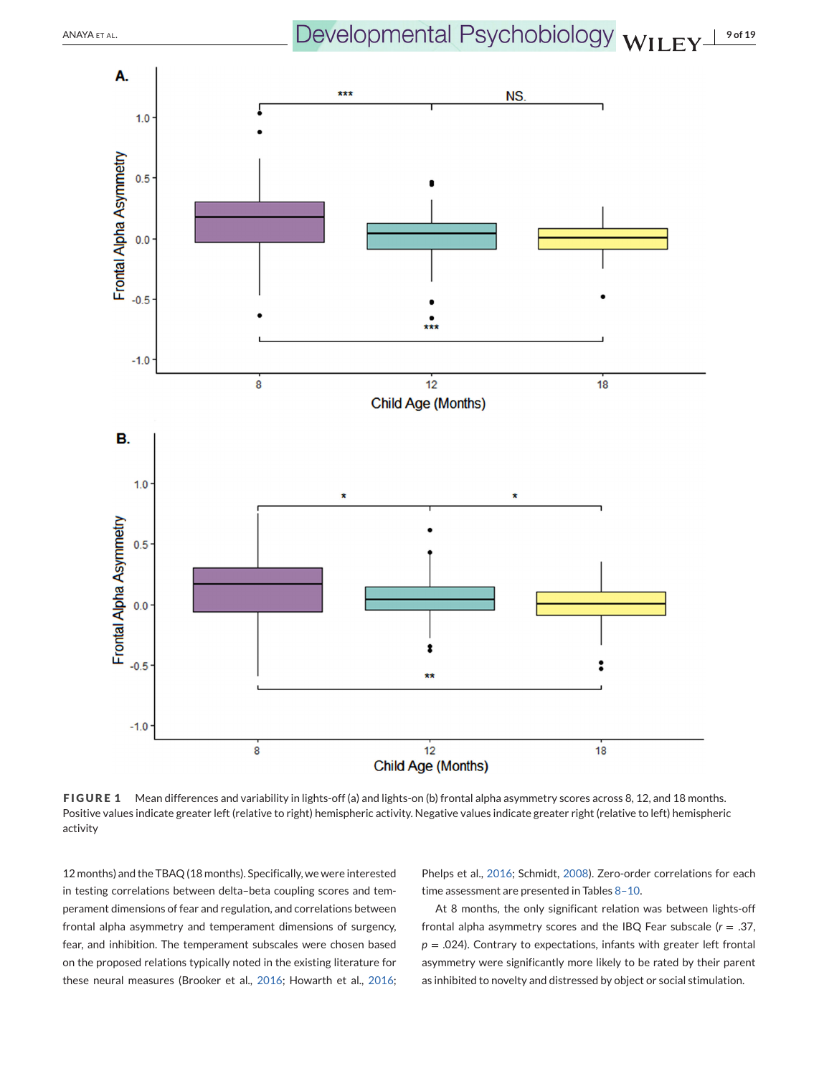<span id="page-8-0"></span>ANAYA ET AL. **ANAYA ET AL. DEVELOPMENTAL PSychobiology**  $WILEY<sup>19 of 19</sup>$ 



**FIGURE 1** Mean differences and variability in lights-off (a) and lights-on (b) frontal alpha asymmetry scores across 8, 12, and 18 months. Positive values indicate greater left (relative to right) hemispheric activity. Negative values indicate greater right (relative to left) hemispheric activity

12 months) and the TBAQ (18 months). Specifically, we were interested in testing correlations between delta–beta coupling scores and temperament dimensions of fear and regulation, and correlations between frontal alpha asymmetry and temperament dimensions of surgency, fear, and inhibition. The temperament subscales were chosen based on the proposed relations typically noted in the existing literature for these neural measures (Brooker et al., [2016;](#page-15-0) Howarth et al., [2016;](#page-16-0)

Phelps et al., [2016;](#page-17-0) Schmidt, [2008\)](#page-17-0). Zero-order correlations for each time assessment are presented in Tables [8–10.](#page-11-0)

At 8 months, the only significant relation was between lights-off frontal alpha asymmetry scores and the IBQ Fear subscale (*r* = .37, *p* = .024). Contrary to expectations, infants with greater left frontal asymmetry were significantly more likely to be rated by their parent as inhibited to novelty and distressed by object or social stimulation.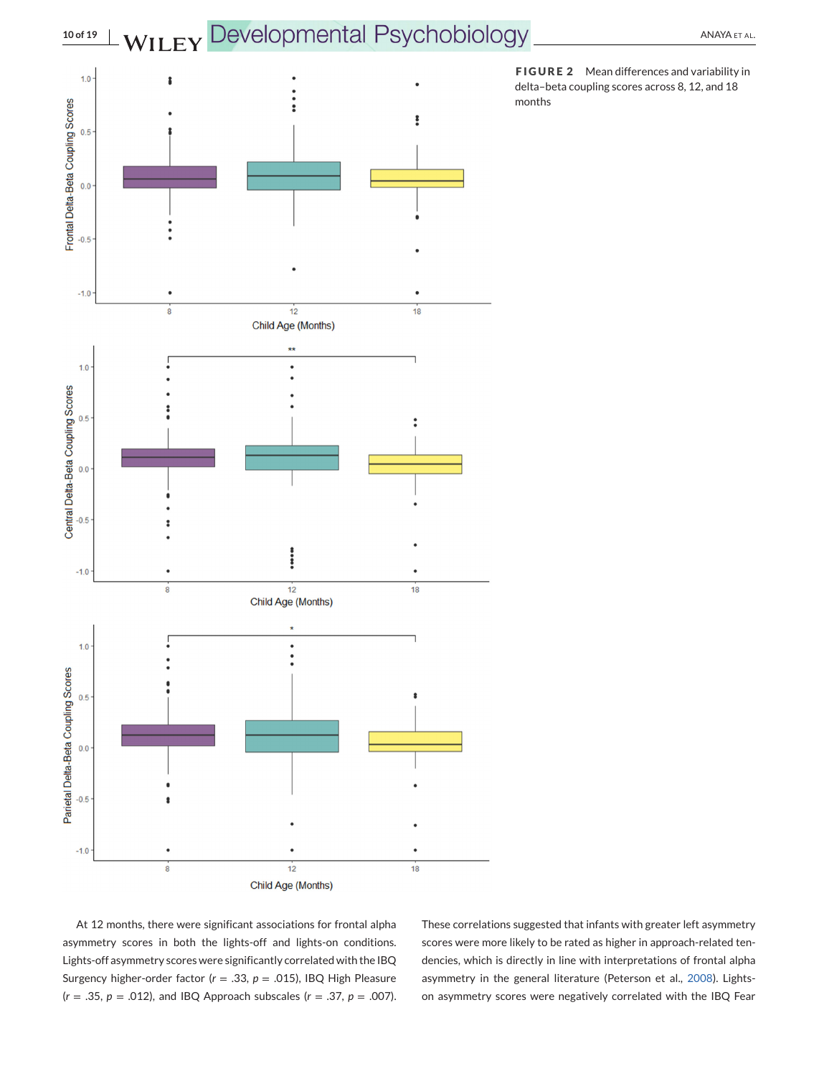<span id="page-9-0"></span>

At 12 months, there were significant associations for frontal alpha asymmetry scores in both the lights-off and lights-on conditions. Lights-off asymmetry scores were significantly correlated with the IBQ Surgency higher-order factor (*r* = .33, *p* = .015), IBQ High Pleasure (*r* = .35, *p* = .012), and IBQ Approach subscales (*r* = .37, *p* = .007).

These correlations suggested that infants with greater left asymmetry scores were more likely to be rated as higher in approach-related tendencies, which is directly in line with interpretations of frontal alpha asymmetry in the general literature (Peterson et al., [2008\)](#page-17-0). Lightson asymmetry scores were negatively correlated with the IBQ Fear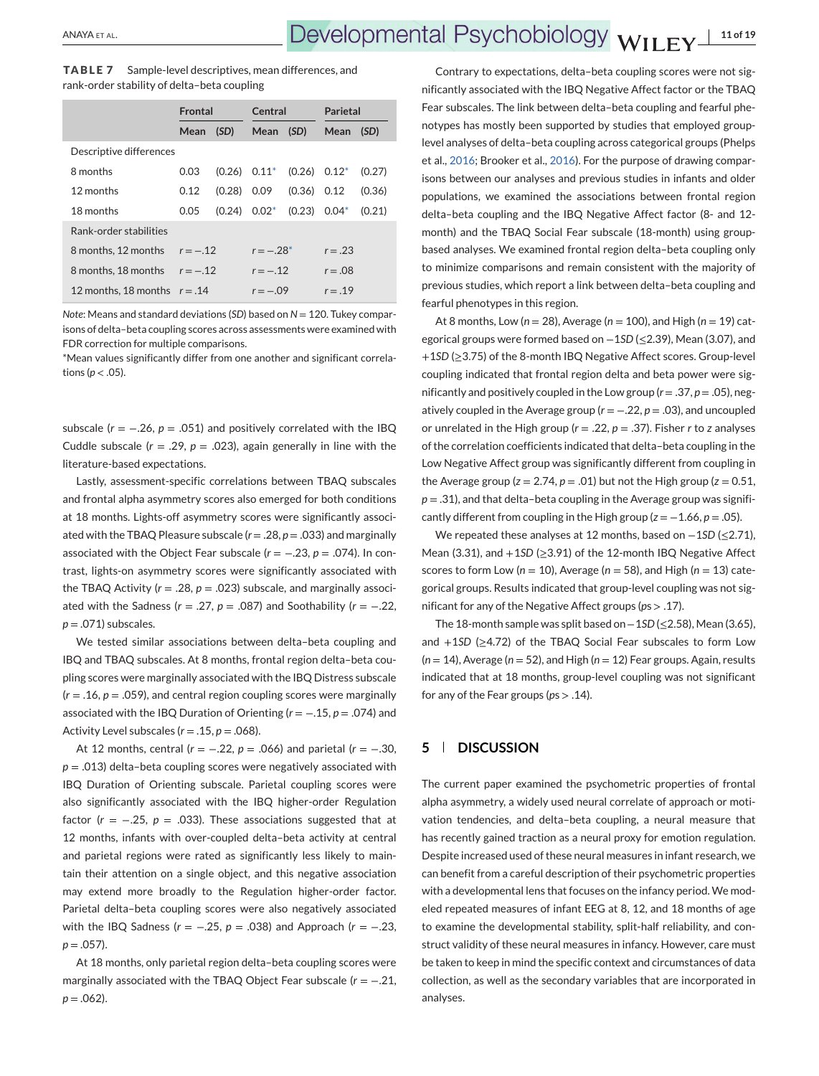<span id="page-10-0"></span>**TABLE 7** Sample-level descriptives, mean differences, and rank-order stability of delta–beta coupling

|                                | Frontal    |        | Central     |                   | Parietal  |        |  |
|--------------------------------|------------|--------|-------------|-------------------|-----------|--------|--|
|                                | Mean       | (SD)   | Mean        | (SD)              | Mean      | (SD)   |  |
| Descriptive differences        |            |        |             |                   |           |        |  |
| 8 months                       | 0.03       | (0.26) | $0.11^{*}$  | $(0.26)$ $0.12^*$ |           | (0.27) |  |
| 12 months                      | 0.12       | (0.28) | 0.09        | $(0.36)$ $0.12$   |           | (0.36) |  |
| 18 months                      | 0.05       | (0.24) | $0.02*$     | (0.23)            | $0.04*$   | (0.21) |  |
| Rank-order stabilities         |            |        |             |                   |           |        |  |
| 8 months, 12 months            | $r = -.12$ |        | $r = -.28*$ |                   | $r = .23$ |        |  |
| 8 months. 18 months            | $r = -.12$ |        | $r = -12$   |                   | $r = .08$ |        |  |
| 12 months, 18 months $r = .14$ |            |        | $r = -09$   |                   | $r = .19$ |        |  |

*Note*: Means and standard deviations (*SD*) based on *N* = 120. Tukey comparisons of delta–beta coupling scores across assessments were examined with FDR correction for multiple comparisons.

\*Mean values significantly differ from one another and significant correlations ( $p < .05$ ).

subscale  $(r = -.26, p = .051)$  and positively correlated with the IBQ Cuddle subscale  $(r = .29, p = .023)$ , again generally in line with the literature-based expectations.

Lastly, assessment-specific correlations between TBAQ subscales and frontal alpha asymmetry scores also emerged for both conditions at 18 months. Lights-off asymmetry scores were significantly associated with the TBAQ Pleasure subscale (*r* = .28, *p* = .033) and marginally associated with the Object Fear subscale (*r* = −.23, *p* = .074). In contrast, lights-on asymmetry scores were significantly associated with the TBAQ Activity ( $r = .28$ ,  $p = .023$ ) subscale, and marginally associated with the Sadness ( $r = .27$ ,  $p = .087$ ) and Soothability ( $r = -.22$ , *p* = .071) subscales.

We tested similar associations between delta–beta coupling and IBQ and TBAQ subscales. At 8 months, frontal region delta–beta coupling scores were marginally associated with the IBQ Distress subscale  $(r = .16, p = .059)$ , and central region coupling scores were marginally associated with the IBQ Duration of Orienting (*r* = −.15, *p* = .074) and Activity Level subscales  $(r = .15, p = .068)$ .

At 12 months, central (*r* = −.22, *p* = .066) and parietal (*r* = −.30,  $p = 0.013$ ) delta-beta coupling scores were negatively associated with IBQ Duration of Orienting subscale. Parietal coupling scores were also significantly associated with the IBQ higher-order Regulation factor ( $r = -.25$ ,  $p = .033$ ). These associations suggested that at 12 months, infants with over-coupled delta–beta activity at central and parietal regions were rated as significantly less likely to maintain their attention on a single object, and this negative association may extend more broadly to the Regulation higher-order factor. Parietal delta–beta coupling scores were also negatively associated with the IBQ Sadness (*r* = −.25, *p* = .038) and Approach (*r* = −.23,  $p = .057$ ).

At 18 months, only parietal region delta–beta coupling scores were marginally associated with the TBAQ Object Fear subscale (*r* = −.21,  $p = .062$ ).

Contrary to expectations, delta–beta coupling scores were not significantly associated with the IBQ Negative Affect factor or the TBAQ Fear subscales. The link between delta–beta coupling and fearful phenotypes has mostly been supported by studies that employed grouplevel analyses of delta–beta coupling across categorical groups (Phelps et al., [2016;](#page-17-0) Brooker et al., [2016\)](#page-15-0). For the purpose of drawing comparisons between our analyses and previous studies in infants and older populations, we examined the associations between frontal region delta–beta coupling and the IBQ Negative Affect factor (8- and 12 month) and the TBAQ Social Fear subscale (18-month) using groupbased analyses. We examined frontal region delta–beta coupling only to minimize comparisons and remain consistent with the majority of previous studies, which report a link between delta–beta coupling and fearful phenotypes in this region.

At 8 months, Low (*n* = 28), Average (*n* = 100), and High (*n* = 19) categorical groups were formed based on -1*SD* (≤2.39), Mean (3.07), and +1*SD* (≥3.75) of the 8-month IBQ Negative Affect scores. Group-level coupling indicated that frontal region delta and beta power were significantly and positively coupled in the Low group (*r* = .37, *p* = .05), negatively coupled in the Average group (*r* = −.22, *p* = .03), and uncoupled or unrelated in the High group (*r* = .22, *p* = .37). Fisher *r* to *z* analyses of the correlation coefficients indicated that delta–beta coupling in the Low Negative Affect group was significantly different from coupling in the Average group ( $z = 2.74$ ,  $p = .01$ ) but not the High group ( $z = 0.51$ ,  $p = .31$ ), and that delta-beta coupling in the Average group was significantly different from coupling in the High group ( $z = -1.66$ ,  $p = .05$ ).

We repeated these analyses at 12 months, based on -1*SD* (≤2.71), Mean (3.31), and +1*SD* (≥3.91) of the 12-month IBQ Negative Affect scores to form Low (*n* = 10), Average (*n* = 58), and High (*n* = 13) categorical groups. Results indicated that group-level coupling was not significant for any of the Negative Affect groups (*p*s > .17).

The 18-month sample was split based on −1*SD*(≤2.58), Mean (3.65), and +1*SD* (≥4.72) of the TBAQ Social Fear subscales to form Low (*n* = 14), Average (*n* = 52), and High (*n* = 12) Fear groups. Again, results indicated that at 18 months, group-level coupling was not significant for any of the Fear groups (*p*s > .14).

## **5 DISCUSSION**

The current paper examined the psychometric properties of frontal alpha asymmetry, a widely used neural correlate of approach or motivation tendencies, and delta–beta coupling, a neural measure that has recently gained traction as a neural proxy for emotion regulation. Despite increased used of these neural measures in infant research, we can benefit from a careful description of their psychometric properties with a developmental lens that focuses on the infancy period. We modeled repeated measures of infant EEG at 8, 12, and 18 months of age to examine the developmental stability, split-half reliability, and construct validity of these neural measures in infancy. However, care must be taken to keep in mind the specific context and circumstances of data collection, as well as the secondary variables that are incorporated in analyses.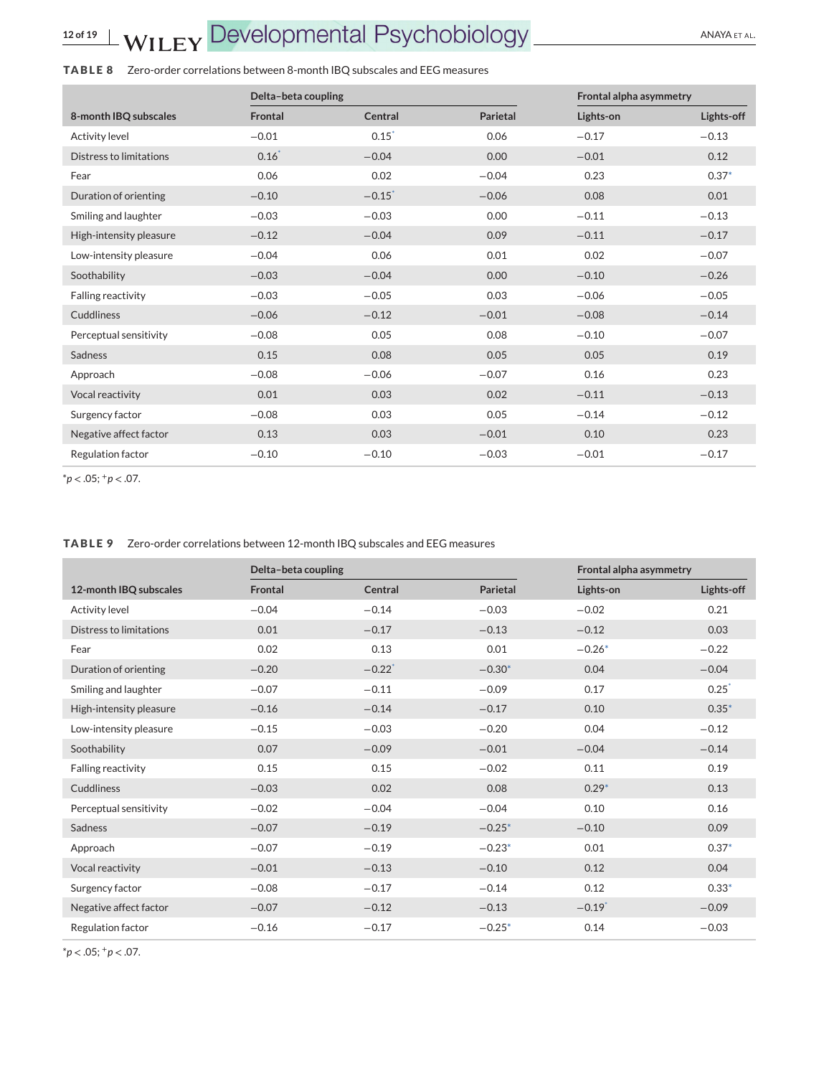## <span id="page-11-0"></span>**TABLE 8** Zero-order correlations between 8-month IBQ subscales and EEG measures

|                           | Delta-beta coupling |                      |          | Frontal alpha asymmetry |            |  |
|---------------------------|---------------------|----------------------|----------|-------------------------|------------|--|
| 8-month IBQ subscales     | <b>Frontal</b>      | Central              | Parietal | Lights-on               | Lights-off |  |
| <b>Activity level</b>     | $-0.01$             | $0.15^*$             | 0.06     | $-0.17$                 | $-0.13$    |  |
| Distress to limitations   | $0.16*$             | $-0.04$              | 0.00     | $-0.01$                 | 0.12       |  |
| Fear                      | 0.06                | 0.02                 | $-0.04$  | 0.23                    | $0.37*$    |  |
| Duration of orienting     | $-0.10$             | $-0.15$ <sup>*</sup> | $-0.06$  | 0.08                    | 0.01       |  |
| Smiling and laughter      | $-0.03$             | $-0.03$              | 0.00     | $-0.11$                 | $-0.13$    |  |
| High-intensity pleasure   | $-0.12$             | $-0.04$              | 0.09     | $-0.11$                 | $-0.17$    |  |
| Low-intensity pleasure    | $-0.04$             | 0.06                 | 0.01     | 0.02                    | $-0.07$    |  |
| Soothability              | $-0.03$             | $-0.04$              | 0.00     | $-0.10$                 | $-0.26$    |  |
| <b>Falling reactivity</b> | $-0.03$             | $-0.05$              | 0.03     | $-0.06$                 | $-0.05$    |  |
| <b>Cuddliness</b>         | $-0.06$             | $-0.12$              | $-0.01$  | $-0.08$                 | $-0.14$    |  |
| Perceptual sensitivity    | $-0.08$             | 0.05                 | 0.08     | $-0.10$                 | $-0.07$    |  |
| <b>Sadness</b>            | 0.15                | 0.08                 | 0.05     | 0.05                    | 0.19       |  |
| Approach                  | $-0.08$             | $-0.06$              | $-0.07$  | 0.16                    | 0.23       |  |
| Vocal reactivity          | 0.01                | 0.03                 | 0.02     | $-0.11$                 | $-0.13$    |  |
| Surgency factor           | $-0.08$             | 0.03                 | 0.05     | $-0.14$                 | $-0.12$    |  |
| Negative affect factor    | 0.13                | 0.03                 | $-0.01$  | 0.10                    | 0.23       |  |
| Regulation factor         | $-0.10$             | $-0.10$              | $-0.03$  | $-0.01$                 | $-0.17$    |  |

\**p* < .05; <sup>+</sup>*p* < .07.

**TABLE 9** Zero-order correlations between 12-month IBQ subscales and EEG measures

|                           | Delta-beta coupling |                      |          | Frontal alpha asymmetry |                     |
|---------------------------|---------------------|----------------------|----------|-------------------------|---------------------|
| 12-month IBQ subscales    | Frontal             | Central              | Parietal | Lights-on               | Lights-off          |
| <b>Activity level</b>     | $-0.04$             | $-0.14$              | $-0.03$  | $-0.02$                 | 0.21                |
| Distress to limitations   | 0.01                | $-0.17$              | $-0.13$  | $-0.12$                 | 0.03                |
| Fear                      | 0.02                | 0.13                 | 0.01     | $-0.26*$                | $-0.22$             |
| Duration of orienting     | $-0.20$             | $-0.22$ <sup>*</sup> | $-0.30*$ | 0.04                    | $-0.04$             |
| Smiling and laughter      | $-0.07$             | $-0.11$              | $-0.09$  | 0.17                    | $0.25$ <sup>*</sup> |
| High-intensity pleasure   | $-0.16$             | $-0.14$              | $-0.17$  | 0.10                    | $0.35*$             |
| Low-intensity pleasure    | $-0.15$             | $-0.03$              | $-0.20$  | 0.04                    | $-0.12$             |
| Soothability              | 0.07                | $-0.09$              | $-0.01$  | $-0.04$                 | $-0.14$             |
| <b>Falling reactivity</b> | 0.15                | 0.15                 | $-0.02$  | 0.11                    | 0.19                |
| <b>Cuddliness</b>         | $-0.03$             | 0.02                 | 0.08     | $0.29*$                 | 0.13                |
| Perceptual sensitivity    | $-0.02$             | $-0.04$              | $-0.04$  | 0.10                    | 0.16                |
| Sadness                   | $-0.07$             | $-0.19$              | $-0.25*$ | $-0.10$                 | 0.09                |
| Approach                  | $-0.07$             | $-0.19$              | $-0.23*$ | 0.01                    | $0.37*$             |
| Vocal reactivity          | $-0.01$             | $-0.13$              | $-0.10$  | 0.12                    | 0.04                |
| Surgency factor           | $-0.08$             | $-0.17$              | $-0.14$  | 0.12                    | $0.33*$             |
| Negative affect factor    | $-0.07$             | $-0.12$              | $-0.13$  | $-0.19$ <sup>*</sup>    | $-0.09$             |
| Regulation factor         | $-0.16$             | $-0.17$              | $-0.25*$ | 0.14                    | $-0.03$             |

\**p* < .05; <sup>+</sup>*p* < .07.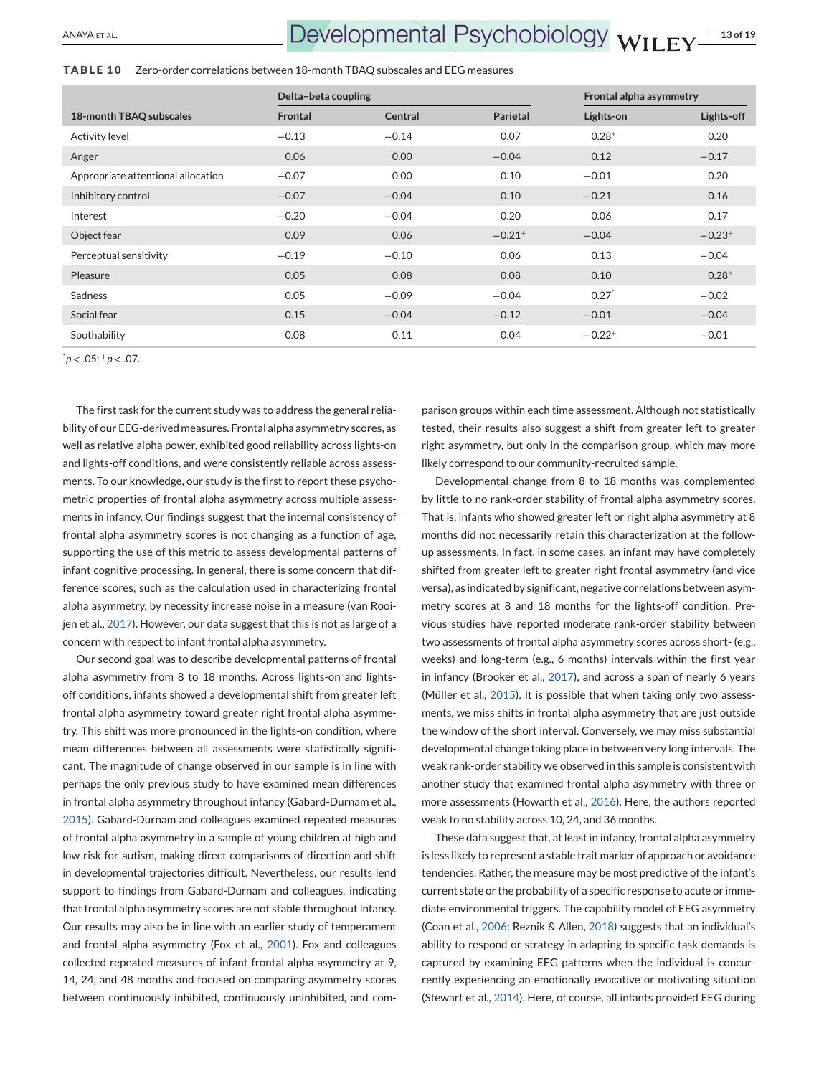#### **TABLE 10** Zero-order correlations between 18-month TBAQ subscales and EEG measures

|                                    | Delta-beta coupling |         |                      | Frontal alpha asymmetry |             |
|------------------------------------|---------------------|---------|----------------------|-------------------------|-------------|
| 18-month TBAQ subscales            | Frontal             | Central | Parietal             | Lights-on               | Lights-off  |
| <b>Activity level</b>              | $-0.13$             | $-0.14$ | 0.07                 | $0.28*$                 | 0.20        |
| Anger                              | 0.06                | 0.00    | $-0.04$              | 0.12                    | $-0.17$     |
| Appropriate attentional allocation | $-0.07$             | 0.00    | 0.10                 | $-0.01$                 | 0.20        |
| Inhibitory control                 | $-0.07$             | $-0.04$ | 0.10                 | $-0.21$                 | 0.16        |
| Interest                           | $-0.20$             | $-0.04$ | 0.20                 | 0.06                    | 0.17        |
| Object fear                        | 0.09                | 0.06    | $-0.21$ <sup>+</sup> | $-0.04$                 | $-0.23^{+}$ |
| Perceptual sensitivity             | $-0.19$             | $-0.10$ | 0.06                 | 0.13                    | $-0.04$     |
| Pleasure                           | 0.05                | 0.08    | 0.08                 | 0.10                    | $0.28*$     |
| <b>Sadness</b>                     | 0.05                | $-0.09$ | $-0.04$              | $0.27^*$                | $-0.02$     |
| Social fear                        | 0.15                | $-0.04$ | $-0.12$              | $-0.01$                 | $-0.04$     |
| Soothability                       | 0.08                | 0.11    | 0.04                 | $-0.22^{+}$             | $-0.01$     |

\* *p* < .05; <sup>+</sup>*p* < .07.

The first task for the current study was to address the general reliability of our EEG-derived measures. Frontal alpha asymmetry scores, as well as relative alpha power, exhibited good reliability across lights-on and lights-off conditions, and were consistently reliable across assessments. To our knowledge, our study is the first to report these psychometric properties of frontal alpha asymmetry across multiple assessments in infancy. Our findings suggest that the internal consistency of frontal alpha asymmetry scores is not changing as a function of age, supporting the use of this metric to assess developmental patterns of infant cognitive processing. In general, there is some concern that difference scores, such as the calculation used in characterizing frontal alpha asymmetry, by necessity increase noise in a measure (van Rooijen et al., [2017\)](#page-18-0). However, our data suggest that this is not as large of a concern with respect to infant frontal alpha asymmetry.

Our second goal was to describe developmental patterns of frontal alpha asymmetry from 8 to 18 months. Across lights-on and lightsoff conditions, infants showed a developmental shift from greater left frontal alpha asymmetry toward greater right frontal alpha asymmetry. This shift was more pronounced in the lights-on condition, where mean differences between all assessments were statistically significant. The magnitude of change observed in our sample is in line with perhaps the only previous study to have examined mean differences in frontal alpha asymmetry throughout infancy (Gabard-Durnam et al., [2015\)](#page-16-0). Gabard-Durnam and colleagues examined repeated measures of frontal alpha asymmetry in a sample of young children at high and low risk for autism, making direct comparisons of direction and shift in developmental trajectories difficult. Nevertheless, our results lend support to findings from Gabard-Durnam and colleagues, indicating that frontal alpha asymmetry scores are not stable throughout infancy. Our results may also be in line with an earlier study of temperament and frontal alpha asymmetry (Fox et al., [2001\)](#page-16-0). Fox and colleagues collected repeated measures of infant frontal alpha asymmetry at 9, 14, 24, and 48 months and focused on comparing asymmetry scores between continuously inhibited, continuously uninhibited, and comparison groups within each time assessment. Although not statistically tested, their results also suggest a shift from greater left to greater right asymmetry, but only in the comparison group, which may more likely correspond to our community-recruited sample.

Developmental change from 8 to 18 months was complemented by little to no rank-order stability of frontal alpha asymmetry scores. That is, infants who showed greater left or right alpha asymmetry at 8 months did not necessarily retain this characterization at the followup assessments. In fact, in some cases, an infant may have completely shifted from greater left to greater right frontal asymmetry (and vice versa), as indicated by significant, negative correlations between asymmetry scores at 8 and 18 months for the lights-off condition. Previous studies have reported moderate rank-order stability between two assessments of frontal alpha asymmetry scores across short- (e.g., weeks) and long-term (e.g., 6 months) intervals within the first year in infancy (Brooker et al., [2017\)](#page-15-0), and across a span of nearly 6 years (Müller et al., [2015\)](#page-17-0). It is possible that when taking only two assessments, we miss shifts in frontal alpha asymmetry that are just outside the window of the short interval. Conversely, we may miss substantial developmental change taking place in between very long intervals. The weak rank-order stability we observed in this sample is consistent with another study that examined frontal alpha asymmetry with three or more assessments (Howarth et al., [2016\)](#page-16-0). Here, the authors reported weak to no stability across 10, 24, and 36 months.

These data suggest that, at least in infancy, frontal alpha asymmetry is less likely to represent a stable trait marker of approach or avoidance tendencies. Rather, the measure may be most predictive of the infant's current state or the probability of a specific response to acute or immediate environmental triggers. The capability model of EEG asymmetry (Coan et al., [2006;](#page-15-0) Reznik & Allen, [2018\)](#page-17-0) suggests that an individual's ability to respond or strategy in adapting to specific task demands is captured by examining EEG patterns when the individual is concurrently experiencing an emotionally evocative or motivating situation (Stewart et al., [2014\)](#page-17-0). Here, of course, all infants provided EEG during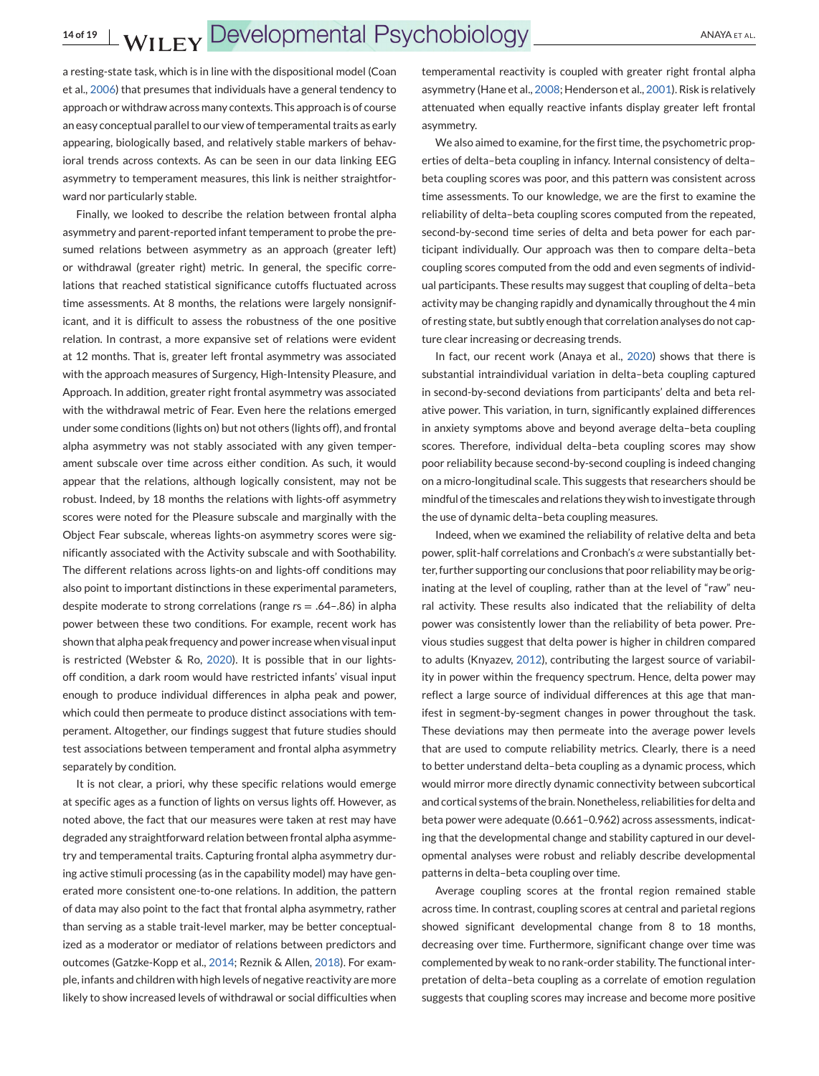a resting-state task, which is in line with the dispositional model (Coan et al., [2006\)](#page-15-0) that presumes that individuals have a general tendency to approach or withdraw across many contexts. This approach is of course an easy conceptual parallel to our view of temperamental traits as early appearing, biologically based, and relatively stable markers of behavioral trends across contexts. As can be seen in our data linking EEG asymmetry to temperament measures, this link is neither straightforward nor particularly stable.

Finally, we looked to describe the relation between frontal alpha asymmetry and parent-reported infant temperament to probe the presumed relations between asymmetry as an approach (greater left) or withdrawal (greater right) metric. In general, the specific correlations that reached statistical significance cutoffs fluctuated across time assessments. At 8 months, the relations were largely nonsignificant, and it is difficult to assess the robustness of the one positive relation. In contrast, a more expansive set of relations were evident at 12 months. That is, greater left frontal asymmetry was associated with the approach measures of Surgency, High-Intensity Pleasure, and Approach. In addition, greater right frontal asymmetry was associated with the withdrawal metric of Fear. Even here the relations emerged under some conditions (lights on) but not others (lights off), and frontal alpha asymmetry was not stably associated with any given temperament subscale over time across either condition. As such, it would appear that the relations, although logically consistent, may not be robust. Indeed, by 18 months the relations with lights-off asymmetry scores were noted for the Pleasure subscale and marginally with the Object Fear subscale, whereas lights-on asymmetry scores were significantly associated with the Activity subscale and with Soothability. The different relations across lights-on and lights-off conditions may also point to important distinctions in these experimental parameters, despite moderate to strong correlations (range *r*s = .64–.86) in alpha power between these two conditions. For example, recent work has shown that alpha peak frequency and power increase when visual input is restricted (Webster & Ro, [2020\)](#page-18-0). It is possible that in our lightsoff condition, a dark room would have restricted infants' visual input enough to produce individual differences in alpha peak and power, which could then permeate to produce distinct associations with temperament. Altogether, our findings suggest that future studies should test associations between temperament and frontal alpha asymmetry separately by condition.

It is not clear, a priori, why these specific relations would emerge at specific ages as a function of lights on versus lights off. However, as noted above, the fact that our measures were taken at rest may have degraded any straightforward relation between frontal alpha asymmetry and temperamental traits. Capturing frontal alpha asymmetry during active stimuli processing (as in the capability model) may have generated more consistent one-to-one relations. In addition, the pattern of data may also point to the fact that frontal alpha asymmetry, rather than serving as a stable trait-level marker, may be better conceptualized as a moderator or mediator of relations between predictors and outcomes (Gatzke-Kopp et al., [2014;](#page-16-0) Reznik & Allen, [2018\)](#page-17-0). For example, infants and children with high levels of negative reactivity are more likely to show increased levels of withdrawal or social difficulties when

temperamental reactivity is coupled with greater right frontal alpha asymmetry (Hane et al., [2008;](#page-16-0) Henderson et al., [2001\)](#page-16-0). Risk is relatively attenuated when equally reactive infants display greater left frontal asymmetry.

We also aimed to examine, for the first time, the psychometric properties of delta–beta coupling in infancy. Internal consistency of delta– beta coupling scores was poor, and this pattern was consistent across time assessments. To our knowledge, we are the first to examine the reliability of delta–beta coupling scores computed from the repeated, second-by-second time series of delta and beta power for each participant individually. Our approach was then to compare delta–beta coupling scores computed from the odd and even segments of individual participants. These results may suggest that coupling of delta–beta activity may be changing rapidly and dynamically throughout the 4 min of resting state, but subtly enough that correlation analyses do not capture clear increasing or decreasing trends.

In fact, our recent work (Anaya et al., [2020\)](#page-15-0) shows that there is substantial intraindividual variation in delta–beta coupling captured in second-by-second deviations from participants' delta and beta relative power. This variation, in turn, significantly explained differences in anxiety symptoms above and beyond average delta–beta coupling scores. Therefore, individual delta–beta coupling scores may show poor reliability because second-by-second coupling is indeed changing on a micro-longitudinal scale. This suggests that researchers should be mindful of the timescales and relations they wish to investigate through the use of dynamic delta–beta coupling measures.

Indeed, when we examined the reliability of relative delta and beta power, split-half correlations and Cronbach's *α* were substantially better, further supporting our conclusions that poor reliability may be originating at the level of coupling, rather than at the level of "raw" neural activity. These results also indicated that the reliability of delta power was consistently lower than the reliability of beta power. Previous studies suggest that delta power is higher in children compared to adults (Knyazev, [2012\)](#page-16-0), contributing the largest source of variability in power within the frequency spectrum. Hence, delta power may reflect a large source of individual differences at this age that manifest in segment-by-segment changes in power throughout the task. These deviations may then permeate into the average power levels that are used to compute reliability metrics. Clearly, there is a need to better understand delta–beta coupling as a dynamic process, which would mirror more directly dynamic connectivity between subcortical and cortical systems of the brain. Nonetheless, reliabilities for delta and beta power were adequate (0.661–0.962) across assessments, indicating that the developmental change and stability captured in our developmental analyses were robust and reliably describe developmental patterns in delta–beta coupling over time.

Average coupling scores at the frontal region remained stable across time. In contrast, coupling scores at central and parietal regions showed significant developmental change from 8 to 18 months, decreasing over time. Furthermore, significant change over time was complemented by weak to no rank-order stability. The functional interpretation of delta–beta coupling as a correlate of emotion regulation suggests that coupling scores may increase and become more positive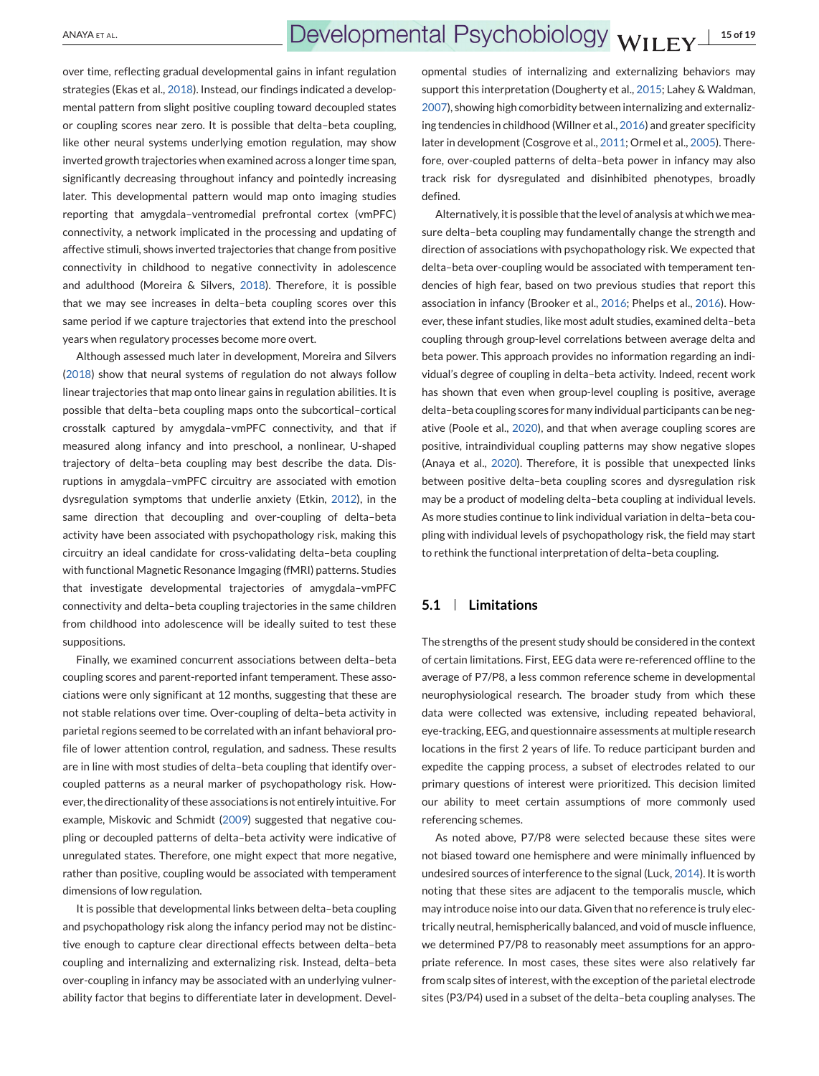over time, reflecting gradual developmental gains in infant regulation strategies (Ekas et al., [2018\)](#page-16-0). Instead, our findings indicated a developmental pattern from slight positive coupling toward decoupled states or coupling scores near zero. It is possible that delta–beta coupling, like other neural systems underlying emotion regulation, may show inverted growth trajectories when examined across a longer time span, significantly decreasing throughout infancy and pointedly increasing later. This developmental pattern would map onto imaging studies reporting that amygdala–ventromedial prefrontal cortex (vmPFC) connectivity, a network implicated in the processing and updating of affective stimuli, shows inverted trajectories that change from positive connectivity in childhood to negative connectivity in adolescence and adulthood (Moreira & Silvers, [2018\)](#page-17-0). Therefore, it is possible that we may see increases in delta–beta coupling scores over this same period if we capture trajectories that extend into the preschool years when regulatory processes become more overt.

Although assessed much later in development, Moreira and Silvers [\(2018\)](#page-17-0) show that neural systems of regulation do not always follow linear trajectories that map onto linear gains in regulation abilities. It is possible that delta–beta coupling maps onto the subcortical–cortical crosstalk captured by amygdala–vmPFC connectivity, and that if measured along infancy and into preschool, a nonlinear, U-shaped trajectory of delta–beta coupling may best describe the data. Disruptions in amygdala–vmPFC circuitry are associated with emotion dysregulation symptoms that underlie anxiety (Etkin, [2012\)](#page-16-0), in the same direction that decoupling and over-coupling of delta–beta activity have been associated with psychopathology risk, making this circuitry an ideal candidate for cross-validating delta–beta coupling with functional Magnetic Resonance Imgaging (fMRI) patterns. Studies that investigate developmental trajectories of amygdala–vmPFC connectivity and delta–beta coupling trajectories in the same children from childhood into adolescence will be ideally suited to test these suppositions.

Finally, we examined concurrent associations between delta–beta coupling scores and parent-reported infant temperament. These associations were only significant at 12 months, suggesting that these are not stable relations over time. Over-coupling of delta–beta activity in parietal regions seemed to be correlated with an infant behavioral profile of lower attention control, regulation, and sadness. These results are in line with most studies of delta–beta coupling that identify overcoupled patterns as a neural marker of psychopathology risk. However, the directionality of these associations is not entirely intuitive. For example, Miskovic and Schmidt [\(2009\)](#page-17-0) suggested that negative coupling or decoupled patterns of delta–beta activity were indicative of unregulated states. Therefore, one might expect that more negative, rather than positive, coupling would be associated with temperament dimensions of low regulation.

It is possible that developmental links between delta–beta coupling and psychopathology risk along the infancy period may not be distinctive enough to capture clear directional effects between delta–beta coupling and internalizing and externalizing risk. Instead, delta–beta over-coupling in infancy may be associated with an underlying vulnerability factor that begins to differentiate later in development. Developmental studies of internalizing and externalizing behaviors may support this interpretation (Dougherty et al., [2015;](#page-16-0) Lahey & Waldman, [2007\)](#page-16-0), showing high comorbidity between internalizing and externalizing tendencies in childhood (Willner et al., [2016\)](#page-18-0) and greater specificity later in development (Cosgrove et al., [2011;](#page-15-0) Ormel et al., [2005\)](#page-17-0). Therefore, over-coupled patterns of delta–beta power in infancy may also track risk for dysregulated and disinhibited phenotypes, broadly defined.

Alternatively, it is possible that the level of analysis at which we measure delta–beta coupling may fundamentally change the strength and direction of associations with psychopathology risk. We expected that delta–beta over-coupling would be associated with temperament tendencies of high fear, based on two previous studies that report this association in infancy (Brooker et al., [2016;](#page-15-0) Phelps et al., [2016\)](#page-17-0). However, these infant studies, like most adult studies, examined delta–beta coupling through group-level correlations between average delta and beta power. This approach provides no information regarding an individual's degree of coupling in delta–beta activity. Indeed, recent work has shown that even when group-level coupling is positive, average delta–beta coupling scores for many individual participants can be negative (Poole et al., [2020\)](#page-17-0), and that when average coupling scores are positive, intraindividual coupling patterns may show negative slopes (Anaya et al., [2020\)](#page-15-0). Therefore, it is possible that unexpected links between positive delta–beta coupling scores and dysregulation risk may be a product of modeling delta–beta coupling at individual levels. As more studies continue to link individual variation in delta–beta coupling with individual levels of psychopathology risk, the field may start to rethink the functional interpretation of delta–beta coupling.

## **5.1 Limitations**

The strengths of the present study should be considered in the context of certain limitations. First, EEG data were re-referenced offline to the average of P7/P8, a less common reference scheme in developmental neurophysiological research. The broader study from which these data were collected was extensive, including repeated behavioral, eye-tracking, EEG, and questionnaire assessments at multiple research locations in the first 2 years of life. To reduce participant burden and expedite the capping process, a subset of electrodes related to our primary questions of interest were prioritized. This decision limited our ability to meet certain assumptions of more commonly used referencing schemes.

As noted above, P7/P8 were selected because these sites were not biased toward one hemisphere and were minimally influenced by undesired sources of interference to the signal (Luck, [2014\)](#page-16-0). It is worth noting that these sites are adjacent to the temporalis muscle, which may introduce noise into our data. Given that no reference is truly electrically neutral, hemispherically balanced, and void of muscle influence, we determined P7/P8 to reasonably meet assumptions for an appropriate reference. In most cases, these sites were also relatively far from scalp sites of interest, with the exception of the parietal electrode sites (P3/P4) used in a subset of the delta–beta coupling analyses. The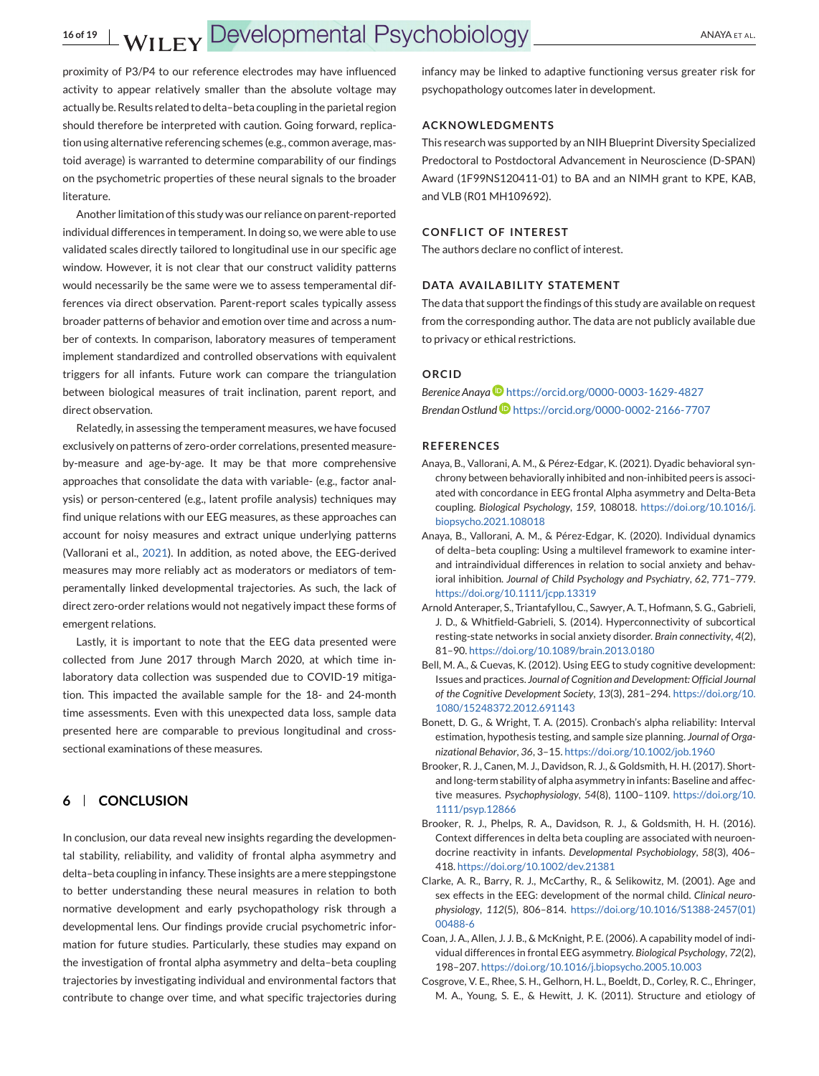<span id="page-15-0"></span>proximity of P3/P4 to our reference electrodes may have influenced activity to appear relatively smaller than the absolute voltage may actually be. Results related to delta–beta coupling in the parietal region should therefore be interpreted with caution. Going forward, replication using alternative referencing schemes (e.g., common average, mastoid average) is warranted to determine comparability of our findings on the psychometric properties of these neural signals to the broader literature.

Another limitation of this study was our reliance on parent-reported individual differences in temperament. In doing so, we were able to use validated scales directly tailored to longitudinal use in our specific age window. However, it is not clear that our construct validity patterns would necessarily be the same were we to assess temperamental differences via direct observation. Parent-report scales typically assess broader patterns of behavior and emotion over time and across a number of contexts. In comparison, laboratory measures of temperament implement standardized and controlled observations with equivalent triggers for all infants. Future work can compare the triangulation between biological measures of trait inclination, parent report, and direct observation.

Relatedly, in assessing the temperament measures, we have focused exclusively on patterns of zero-order correlations, presented measureby-measure and age-by-age. It may be that more comprehensive approaches that consolidate the data with variable- (e.g., factor analysis) or person-centered (e.g., latent profile analysis) techniques may find unique relations with our EEG measures, as these approaches can account for noisy measures and extract unique underlying patterns (Vallorani et al., [2021\)](#page-17-0). In addition, as noted above, the EEG-derived measures may more reliably act as moderators or mediators of temperamentally linked developmental trajectories. As such, the lack of direct zero-order relations would not negatively impact these forms of emergent relations.

Lastly, it is important to note that the EEG data presented were collected from June 2017 through March 2020, at which time inlaboratory data collection was suspended due to COVID-19 mitigation. This impacted the available sample for the 18- and 24-month time assessments. Even with this unexpected data loss, sample data presented here are comparable to previous longitudinal and crosssectional examinations of these measures.

## **6 CONCLUSION**

In conclusion, our data reveal new insights regarding the developmental stability, reliability, and validity of frontal alpha asymmetry and delta–beta coupling in infancy. These insights are a mere steppingstone to better understanding these neural measures in relation to both normative development and early psychopathology risk through a developmental lens. Our findings provide crucial psychometric information for future studies. Particularly, these studies may expand on the investigation of frontal alpha asymmetry and delta–beta coupling trajectories by investigating individual and environmental factors that contribute to change over time, and what specific trajectories during infancy may be linked to adaptive functioning versus greater risk for psychopathology outcomes later in development.

#### **ACKNOWLEDGMENTS**

This research was supported by an NIH Blueprint Diversity Specialized Predoctoral to Postdoctoral Advancement in Neuroscience (D-SPAN) Award (1F99NS120411-01) to BA and an NIMH grant to KPE, KAB, and VLB (R01 MH109692).

#### **CONFLICT OF INTEREST**

The authors declare no conflict of interest.

#### **DATA AVAILABILITY STATEMENT**

The data that support the findings of this study are available on request from the corresponding author. The data are not publicly available due to privacy or ethical restrictions.

## **ORCID**

*Berenice Anaya* <https://orcid.org/0000-0003-1629-4827> *Brendan Ostlund* <https://orcid.org/0000-0002-2166-7707>

#### **REFERENCES**

- Anaya, B., Vallorani, A. M., & Pérez-Edgar, K. (2021). Dyadic behavioral synchrony between behaviorally inhibited and non-inhibited peers is associated with concordance in EEG frontal Alpha asymmetry and Delta-Beta coupling. *Biological Psychology*, *159*, 108018. [https://doi.org/10.1016/j.](https://doi.org/10.1016/j.biopsycho.2021.108018) [biopsycho.2021.108018](https://doi.org/10.1016/j.biopsycho.2021.108018)
- Anaya, B., Vallorani, A. M., & Pérez-Edgar, K. (2020). Individual dynamics of delta–beta coupling: Using a multilevel framework to examine interand intraindividual differences in relation to social anxiety and behavioral inhibition. *Journal of Child Psychology and Psychiatry*, *62*, 771–779. <https://doi.org/10.1111/jcpp.13319>
- Arnold Anteraper, S., Triantafyllou, C., Sawyer, A. T., Hofmann, S. G., Gabrieli, J. D., & Whitfield-Gabrieli, S. (2014). Hyperconnectivity of subcortical resting-state networks in social anxiety disorder. *Brain connectivity*, *4*(2), 81–90. <https://doi.org/10.1089/brain.2013.0180>
- Bell, M. A., & Cuevas, K. (2012). Using EEG to study cognitive development: Issues and practices. *Journal of Cognition and Development: Official Journal of the Cognitive Development Society*, *13*(3), 281–294. [https://doi.org/10.](https://doi.org/10.1080/15248372.2012.691143) [1080/15248372.2012.691143](https://doi.org/10.1080/15248372.2012.691143)
- Bonett, D. G., & Wright, T. A. (2015). Cronbach's alpha reliability: Interval estimation, hypothesis testing, and sample size planning. *Journal of Organizational Behavior*, *36*, 3–15. <https://doi.org/10.1002/job.1960>
- Brooker, R. J., Canen, M. J., Davidson, R. J., & Goldsmith, H. H. (2017). Shortand long-term stability of alpha asymmetry in infants: Baseline and affective measures. *Psychophysiology*, *54*(8), 1100–1109. [https://doi.org/10.](https://doi.org/10.1111/psyp.12866) [1111/psyp.12866](https://doi.org/10.1111/psyp.12866)
- Brooker, R. J., Phelps, R. A., Davidson, R. J., & Goldsmith, H. H. (2016). Context differences in delta beta coupling are associated with neuroendocrine reactivity in infants. *Developmental Psychobiology*, *58*(3), 406– 418. <https://doi.org/10.1002/dev.21381>
- Clarke, A. R., Barry, R. J., McCarthy, R., & Selikowitz, M. (2001). Age and sex effects in the EEG: development of the normal child. *Clinical neurophysiology*, *112*(5), 806–814. [https://doi.org/10.1016/S1388-2457\(01\)](https://doi.org/10.1016/S1388-2457(01)00488-6) [00488-6](https://doi.org/10.1016/S1388-2457(01)00488-6)
- Coan, J. A., Allen, J. J. B., & McKnight, P. E. (2006). A capability model of individual differences in frontal EEG asymmetry. *Biological Psychology*, *72*(2), 198–207. <https://doi.org/10.1016/j.biopsycho.2005.10.003>
- Cosgrove, V. E., Rhee, S. H., Gelhorn, H. L., Boeldt, D., Corley, R. C., Ehringer, M. A., Young, S. E., & Hewitt, J. K. (2011). Structure and etiology of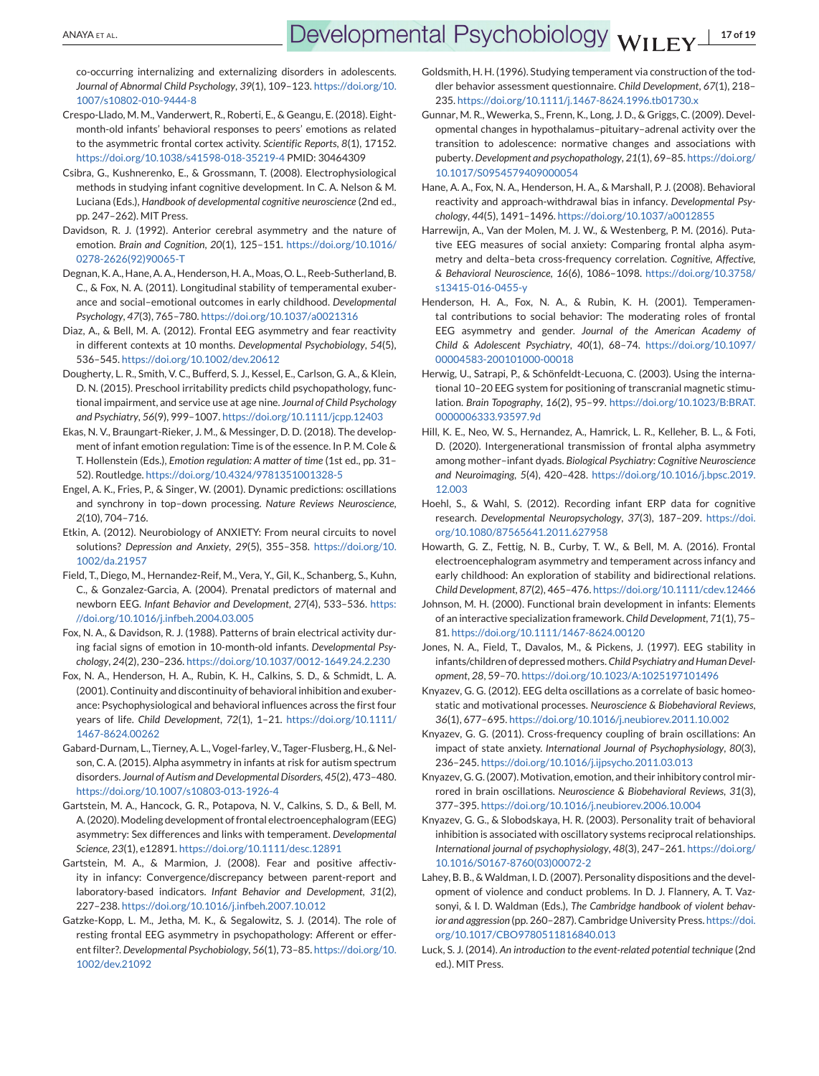<span id="page-16-0"></span>co-occurring internalizing and externalizing disorders in adolescents. *Journal of Abnormal Child Psychology*, *39*(1), 109–123. [https://doi.org/10.](https://doi.org/10.1007/s10802-010-9444-8) [1007/s10802-010-9444-8](https://doi.org/10.1007/s10802-010-9444-8)

- Crespo-Llado, M. M., Vanderwert, R., Roberti, E., & Geangu, E. (2018). Eightmonth-old infants' behavioral responses to peers' emotions as related to the asymmetric frontal cortex activity. *Scientific Reports*, *8*(1), 17152. <https://doi.org/10.1038/s41598-018-35219-4> PMID: 30464309
- Csibra, G., Kushnerenko, E., & Grossmann, T. (2008). Electrophysiological methods in studying infant cognitive development. In C. A. Nelson & M. Luciana (Eds.), *Handbook of developmental cognitive neuroscience* (2nd ed., pp. 247–262). MIT Press.
- Davidson, R. J. (1992). Anterior cerebral asymmetry and the nature of emotion. *Brain and Cognition*, *20*(1), 125–151. [https://doi.org/10.1016/](https://doi.org/10.1016/0278-2626(92)90065-T) [0278-2626\(92\)90065-T](https://doi.org/10.1016/0278-2626(92)90065-T)
- Degnan, K. A., Hane, A. A., Henderson, H. A., Moas, O. L., Reeb-Sutherland, B. C., & Fox, N. A. (2011). Longitudinal stability of temperamental exuberance and social–emotional outcomes in early childhood. *Developmental Psychology*, *47*(3), 765–780. <https://doi.org/10.1037/a0021316>
- Diaz, A., & Bell, M. A. (2012). Frontal EEG asymmetry and fear reactivity in different contexts at 10 months. *Developmental Psychobiology*, *54*(5), 536–545. <https://doi.org/10.1002/dev.20612>
- Dougherty, L. R., Smith, V. C., Bufferd, S. J., Kessel, E., Carlson, G. A., & Klein, D. N. (2015). Preschool irritability predicts child psychopathology, functional impairment, and service use at age nine. *Journal of Child Psychology and Psychiatry*, *56*(9), 999–1007. <https://doi.org/10.1111/jcpp.12403>
- Ekas, N. V., Braungart-Rieker, J. M., & Messinger, D. D. (2018). The development of infant emotion regulation: Time is of the essence. In P. M. Cole & T. Hollenstein (Eds.), *Emotion regulation: A matter of time* (1st ed., pp. 31– 52). Routledge. <https://doi.org/10.4324/9781351001328-5>
- Engel, A. K., Fries, P., & Singer, W. (2001). Dynamic predictions: oscillations and synchrony in top–down processing. *Nature Reviews Neuroscience*, *2*(10), 704–716.
- Etkin, A. (2012). Neurobiology of ANXIETY: From neural circuits to novel solutions? *Depression and Anxiety*, *29*(5), 355–358. [https://doi.org/10.](https://doi.org/10.1002/da.21957) [1002/da.21957](https://doi.org/10.1002/da.21957)
- Field, T., Diego, M., Hernandez-Reif, M., Vera, Y., Gil, K., Schanberg, S., Kuhn, C., & Gonzalez-Garcia, A. (2004). Prenatal predictors of maternal and newborn EEG. *Infant Behavior and Development*, *27*(4), 533–536. [https:](https://doi.org/10.1016/j.infbeh.2004.03.005) [//doi.org/10.1016/j.infbeh.2004.03.005](https://doi.org/10.1016/j.infbeh.2004.03.005)
- Fox, N. A., & Davidson, R. J. (1988). Patterns of brain electrical activity during facial signs of emotion in 10-month-old infants. *Developmental Psychology*, *24*(2), 230–236. <https://doi.org/10.1037/0012-1649.24.2.230>
- Fox, N. A., Henderson, H. A., Rubin, K. H., Calkins, S. D., & Schmidt, L. A. (2001). Continuity and discontinuity of behavioral inhibition and exuberance: Psychophysiological and behavioral influences across the first four years of life. *Child Development*, *72*(1), 1–21. [https://doi.org/10.1111/](https://doi.org/10.1111/1467-8624.00262) [1467-8624.00262](https://doi.org/10.1111/1467-8624.00262)
- Gabard-Durnam, L., Tierney, A. L., Vogel-farley, V., Tager-Flusberg, H., & Nelson, C. A. (2015). Alpha asymmetry in infants at risk for autism spectrum disorders. *Journal of Autism and Developmental Disorders*, *45*(2), 473–480. <https://doi.org/10.1007/s10803-013-1926-4>
- Gartstein, M. A., Hancock, G. R., Potapova, N. V., Calkins, S. D., & Bell, M. A. (2020).Modeling development of frontal electroencephalogram (EEG) asymmetry: Sex differences and links with temperament. *Developmental Science*, *23*(1), e12891. <https://doi.org/10.1111/desc.12891>
- Gartstein, M. A., & Marmion, J. (2008). Fear and positive affectivity in infancy: Convergence/discrepancy between parent-report and laboratory-based indicators. *Infant Behavior and Development*, *31*(2), 227–238. <https://doi.org/10.1016/j.infbeh.2007.10.012>
- Gatzke-Kopp, L. M., Jetha, M. K., & Segalowitz, S. J. (2014). The role of resting frontal EEG asymmetry in psychopathology: Afferent or efferent filter?. *Developmental Psychobiology*, *56*(1), 73–85. [https://doi.org/10.](https://doi.org/10.1002/dev.21092) [1002/dev.21092](https://doi.org/10.1002/dev.21092)
- Goldsmith, H. H. (1996). Studying temperament via construction of the toddler behavior assessment questionnaire. *Child Development*, *67*(1), 218– 235. <https://doi.org/10.1111/j.1467-8624.1996.tb01730.x>
- Gunnar, M. R., Wewerka, S., Frenn, K., Long, J. D., & Griggs, C. (2009). Developmental changes in hypothalamus–pituitary–adrenal activity over the transition to adolescence: normative changes and associations with puberty. *Development and psychopathology*, *21*(1), 69–85. [https://doi.org/](https://doi.org/10.1017/S0954579409000054) [10.1017/S0954579409000054](https://doi.org/10.1017/S0954579409000054)
- Hane, A. A., Fox, N. A., Henderson, H. A., & Marshall, P. J. (2008). Behavioral reactivity and approach-withdrawal bias in infancy. *Developmental Psychology*, *44*(5), 1491–1496. <https://doi.org/10.1037/a0012855>
- Harrewijn, A., Van der Molen, M. J. W., & Westenberg, P. M. (2016). Putative EEG measures of social anxiety: Comparing frontal alpha asymmetry and delta–beta cross-frequency correlation. *Cognitive, Affective, & Behavioral Neuroscience*, *16*(6), 1086–1098. [https://doi.org/10.3758/](https://doi.org/10.3758/s13415-016-0455-y) [s13415-016-0455-y](https://doi.org/10.3758/s13415-016-0455-y)
- Henderson, H. A., Fox, N. A., & Rubin, K. H. (2001). Temperamental contributions to social behavior: The moderating roles of frontal EEG asymmetry and gender. *Journal of the American Academy of Child & Adolescent Psychiatry*, *40*(1), 68–74. [https://doi.org/10.1097/](https://doi.org/10.1097/00004583-200101000-00018) [00004583-200101000-00018](https://doi.org/10.1097/00004583-200101000-00018)
- Herwig, U., Satrapi, P., & Schönfeldt-Lecuona, C. (2003). Using the international 10–20 EEG system for positioning of transcranial magnetic stimulation. *Brain Topography*, *16*(2), 95–99. [https://doi.org/10.1023/B:BRAT.](https://doi.org/10.1023/B:BRAT.0000006333.93597.9d) [0000006333.93597.9d](https://doi.org/10.1023/B:BRAT.0000006333.93597.9d)
- Hill, K. E., Neo, W. S., Hernandez, A., Hamrick, L. R., Kelleher, B. L., & Foti, D. (2020). Intergenerational transmission of frontal alpha asymmetry among mother–infant dyads. *Biological Psychiatry: Cognitive Neuroscience and Neuroimaging*, *5*(4), 420–428. [https://doi.org/10.1016/j.bpsc.2019.](https://doi.org/10.1016/j.bpsc.2019.12.003) [12.003](https://doi.org/10.1016/j.bpsc.2019.12.003)
- Hoehl, S., & Wahl, S. (2012). Recording infant ERP data for cognitive research. *Developmental Neuropsychology*, *37*(3), 187–209. [https://doi.](https://doi.org/10.1080/87565641.2011.627958) [org/10.1080/87565641.2011.627958](https://doi.org/10.1080/87565641.2011.627958)
- Howarth, G. Z., Fettig, N. B., Curby, T. W., & Bell, M. A. (2016). Frontal electroencephalogram asymmetry and temperament across infancy and early childhood: An exploration of stability and bidirectional relations. *Child Development*, *87*(2), 465–476. <https://doi.org/10.1111/cdev.12466>
- Johnson, M. H. (2000). Functional brain development in infants: Elements of an interactive specialization framework. *Child Development*, *71*(1), 75– 81. <https://doi.org/10.1111/1467-8624.00120>
- Jones, N. A., Field, T., Davalos, M., & Pickens, J. (1997). EEG stability in infants/children of depressed mothers. *Child Psychiatry and Human Development*, *28*, 59–70. <https://doi.org/10.1023/A:1025197101496>
- Knyazev, G. G. (2012). EEG delta oscillations as a correlate of basic homeostatic and motivational processes. *Neuroscience & Biobehavioral Reviews*, *36*(1), 677–695. <https://doi.org/10.1016/j.neubiorev.2011.10.002>
- Knyazev, G. G. (2011). Cross-frequency coupling of brain oscillations: An impact of state anxiety. *International Journal of Psychophysiology*, *80*(3), 236–245. <https://doi.org/10.1016/j.ijpsycho.2011.03.013>
- Knyazev, G. G. (2007). Motivation, emotion, and their inhibitory control mirrored in brain oscillations. *Neuroscience & Biobehavioral Reviews*, *31*(3), 377–395. <https://doi.org/10.1016/j.neubiorev.2006.10.004>
- Knyazev, G. G., & Slobodskaya, H. R. (2003). Personality trait of behavioral inhibition is associated with oscillatory systems reciprocal relationships. *International journal of psychophysiology*, *48*(3), 247–261. [https://doi.org/](https://doi.org/10.1016/S0167-8760(03)00072-2) [10.1016/S0167-8760\(03\)00072-2](https://doi.org/10.1016/S0167-8760(03)00072-2)
- Lahey, B. B., & Waldman, I. D. (2007). Personality dispositions and the development of violence and conduct problems. In D. J. Flannery, A. T. Vazsonyi, & I. D. Waldman (Eds.), *The Cambridge handbook of violent behavior and aggression* (pp. 260–287). Cambridge University Press. [https://doi.](https://doi.org/10.1017/CBO9780511816840.013) [org/10.1017/CBO9780511816840.013](https://doi.org/10.1017/CBO9780511816840.013)
- Luck, S. J. (2014). *An introduction to the event-related potential technique* (2nd ed.). MIT Press.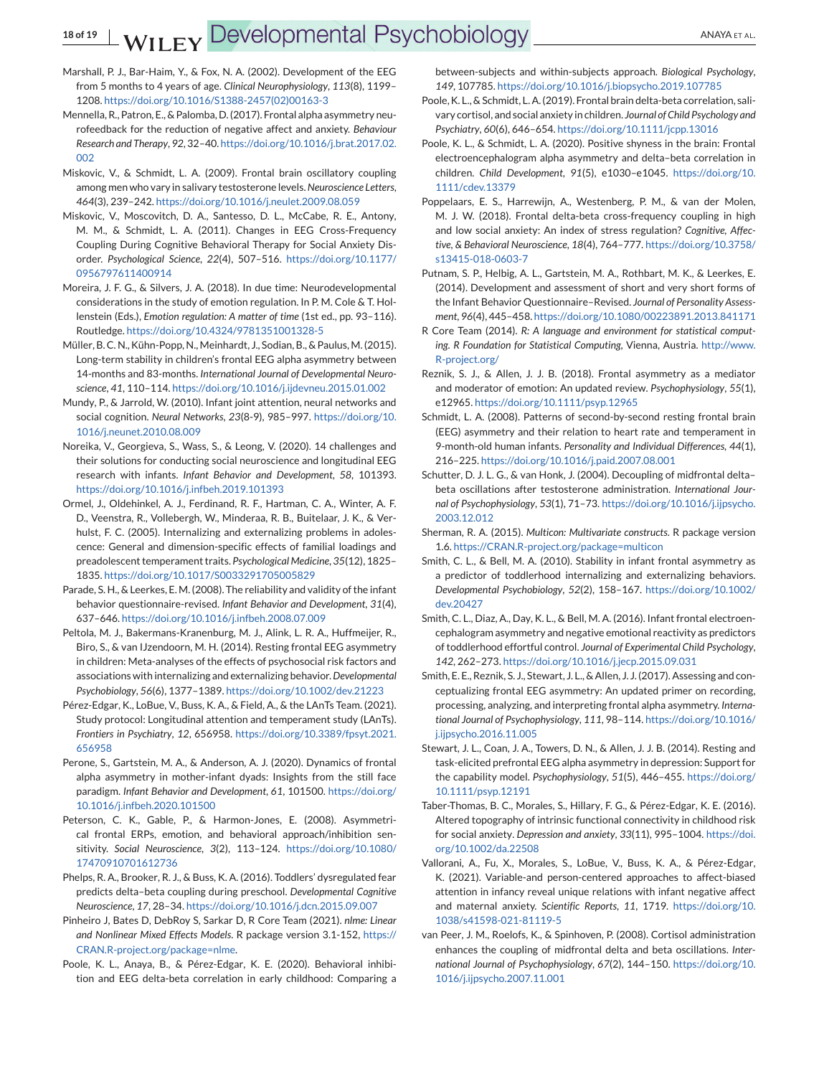- <span id="page-17-0"></span>Marshall, P. J., Bar-Haim, Y., & Fox, N. A. (2002). Development of the EEG from 5 months to 4 years of age. *Clinical Neurophysiology*, *113*(8), 1199– 1208. [https://doi.org/10.1016/S1388-2457\(02\)00163-3](https://doi.org/10.1016/S1388-2457(02)00163-3)
- Mennella, R., Patron, E., & Palomba, D. (2017). Frontal alpha asymmetry neurofeedback for the reduction of negative affect and anxiety. *Behaviour Research and Therapy*, *92*, 32–40. [https://doi.org/10.1016/j.brat.2017.02.](https://doi.org/10.1016/j.brat.2017.02.002) [002](https://doi.org/10.1016/j.brat.2017.02.002)
- Miskovic, V., & Schmidt, L. A. (2009). Frontal brain oscillatory coupling among men who vary in salivary testosterone levels.*Neuroscience Letters*, *464*(3), 239–242. <https://doi.org/10.1016/j.neulet.2009.08.059>
- Miskovic, V., Moscovitch, D. A., Santesso, D. L., McCabe, R. E., Antony, M. M., & Schmidt, L. A. (2011). Changes in EEG Cross-Frequency Coupling During Cognitive Behavioral Therapy for Social Anxiety Disorder. *Psychological Science*, *22*(4), 507–516. [https://doi.org/10.1177/](https://doi.org/10.1177/0956797611400914) [0956797611400914](https://doi.org/10.1177/0956797611400914)
- Moreira, J. F. G., & Silvers, J. A. (2018). In due time: Neurodevelopmental considerations in the study of emotion regulation. In P. M. Cole & T. Hollenstein (Eds.), *Emotion regulation: A matter of time* (1st ed., pp. 93–116). Routledge. <https://doi.org/10.4324/9781351001328-5>
- Müller, B. C. N., Kühn-Popp, N., Meinhardt, J., Sodian, B., & Paulus, M. (2015). Long-term stability in children's frontal EEG alpha asymmetry between 14-months and 83-months. *International Journal of Developmental Neuroscience*, *41*, 110–114. <https://doi.org/10.1016/j.ijdevneu.2015.01.002>
- Mundy, P., & Jarrold, W. (2010). Infant joint attention, neural networks and social cognition. *Neural Networks*, *23*(8-9), 985–997. [https://doi.org/10.](https://doi.org/10.1016/j.neunet.2010.08.009) [1016/j.neunet.2010.08.009](https://doi.org/10.1016/j.neunet.2010.08.009)
- Noreika, V., Georgieva, S., Wass, S., & Leong, V. (2020). 14 challenges and their solutions for conducting social neuroscience and longitudinal EEG research with infants. *Infant Behavior and Development*, *58*, 101393. <https://doi.org/10.1016/j.infbeh.2019.101393>
- Ormel, J., Oldehinkel, A. J., Ferdinand, R. F., Hartman, C. A., Winter, A. F. D., Veenstra, R., Vollebergh, W., Minderaa, R. B., Buitelaar, J. K., & Verhulst, F. C. (2005). Internalizing and externalizing problems in adolescence: General and dimension-specific effects of familial loadings and preadolescent temperament traits. *Psychological Medicine*, *35*(12), 1825– 1835. <https://doi.org/10.1017/S0033291705005829>
- Parade, S. H., & Leerkes, E. M. (2008). The reliability and validity of the infant behavior questionnaire-revised. *Infant Behavior and Development*, *31*(4), 637–646. <https://doi.org/10.1016/j.infbeh.2008.07.009>
- Peltola, M. J., Bakermans-Kranenburg, M. J., Alink, L. R. A., Huffmeijer, R., Biro, S., & van IJzendoorn, M. H. (2014). Resting frontal EEG asymmetry in children: Meta-analyses of the effects of psychosocial risk factors and associations with internalizing and externalizing behavior.*Developmental Psychobiology*, *56*(6), 1377–1389. <https://doi.org/10.1002/dev.21223>
- Pérez-Edgar, K., LoBue, V., Buss, K. A., & Field, A., & the LAnTs Team. (2021). Study protocol: Longitudinal attention and temperament study (LAnTs). *Frontiers in Psychiatry*, *12*, 656958. [https://doi.org/10.3389/fpsyt.2021.](https://doi.org/10.3389/fpsyt.2021.656958) [656958](https://doi.org/10.3389/fpsyt.2021.656958)
- Perone, S., Gartstein, M. A., & Anderson, A. J. (2020). Dynamics of frontal alpha asymmetry in mother-infant dyads: Insights from the still face paradigm. *Infant Behavior and Development*, *61*, 101500. [https://doi.org/](https://doi.org/10.1016/j.infbeh.2020.101500) [10.1016/j.infbeh.2020.101500](https://doi.org/10.1016/j.infbeh.2020.101500)
- Peterson, C. K., Gable, P., & Harmon-Jones, E. (2008). Asymmetrical frontal ERPs, emotion, and behavioral approach/inhibition sensitivity. *Social Neuroscience*, *3*(2), 113–124. [https://doi.org/10.1080/](https://doi.org/10.1080/17470910701612736) [17470910701612736](https://doi.org/10.1080/17470910701612736)
- Phelps, R. A., Brooker, R. J., & Buss, K. A. (2016). Toddlers' dysregulated fear predicts delta–beta coupling during preschool. *Developmental Cognitive Neuroscience*, *17*, 28–34. <https://doi.org/10.1016/j.dcn.2015.09.007>
- Pinheiro J, Bates D, DebRoy S, Sarkar D, R Core Team (2021). *nlme: Linear and Nonlinear Mixed Effects Models*. R package version 3.1-152, [https://](https://CRAN.R-project.org/package=nlme) [CRAN.R-project.org/package=nlme.](https://CRAN.R-project.org/package=nlme)
- Poole, K. L., Anaya, B., & Pérez-Edgar, K. E. (2020). Behavioral inhibition and EEG delta-beta correlation in early childhood: Comparing a

between-subjects and within-subjects approach. *Biological Psychology*, *149*, 107785. <https://doi.org/10.1016/j.biopsycho.2019.107785>

- Poole, K. L., & Schmidt, L. A. (2019). Frontal brain delta-beta correlation, salivary cortisol, and social anxiety in children. *Journal of Child Psychology and Psychiatry*, *60*(6), 646–654. <https://doi.org/10.1111/jcpp.13016>
- Poole, K. L., & Schmidt, L. A. (2020). Positive shyness in the brain: Frontal electroencephalogram alpha asymmetry and delta–beta correlation in children. *Child Development*, *91*(5), e1030–e1045. [https://doi.org/10.](https://doi.org/10.1111/cdev.13379) [1111/cdev.13379](https://doi.org/10.1111/cdev.13379)
- Poppelaars, E. S., Harrewijn, A., Westenberg, P. M., & van der Molen, M. J. W. (2018). Frontal delta-beta cross-frequency coupling in high and low social anxiety: An index of stress regulation? *Cognitive, Affective, & Behavioral Neuroscience*, *18*(4), 764–777. [https://doi.org/10.3758/](https://doi.org/10.3758/s13415-018-0603-7) [s13415-018-0603-7](https://doi.org/10.3758/s13415-018-0603-7)
- Putnam, S. P., Helbig, A. L., Gartstein, M. A., Rothbart, M. K., & Leerkes, E. (2014). Development and assessment of short and very short forms of the Infant Behavior Questionnaire–Revised. *Journal of Personality Assessment*, *96*(4), 445–458. <https://doi.org/10.1080/00223891.2013.841171>
- R Core Team (2014). *R: A language and environment for statistical computing. R Foundation for Statistical Computing*, Vienna, Austria. [http://www.](http://www.R-project.org/) [R-project.org/](http://www.R-project.org/)
- Reznik, S. J., & Allen, J. J. B. (2018). Frontal asymmetry as a mediator and moderator of emotion: An updated review. *Psychophysiology*, *55*(1), e12965. <https://doi.org/10.1111/psyp.12965>
- Schmidt, L. A. (2008). Patterns of second-by-second resting frontal brain (EEG) asymmetry and their relation to heart rate and temperament in 9-month-old human infants. *Personality and Individual Differences*, *44*(1), 216–225. <https://doi.org/10.1016/j.paid.2007.08.001>
- Schutter, D. J. L. G., & van Honk, J. (2004). Decoupling of midfrontal delta– beta oscillations after testosterone administration. *International Journal of Psychophysiology*, *53*(1), 71–73. [https://doi.org/10.1016/j.ijpsycho.](https://doi.org/10.1016/j.ijpsycho.2003.12.012) [2003.12.012](https://doi.org/10.1016/j.ijpsycho.2003.12.012)
- Sherman, R. A. (2015). *Multicon: Multivariate constructs*. R package version 1.6. <https://CRAN.R-project.org/package=multicon>
- Smith, C. L., & Bell, M. A. (2010). Stability in infant frontal asymmetry as a predictor of toddlerhood internalizing and externalizing behaviors. *Developmental Psychobiology*, *52*(2), 158–167. [https://doi.org/10.1002/](https://doi.org/10.1002/dev.20427) [dev.20427](https://doi.org/10.1002/dev.20427)
- Smith, C. L., Diaz, A., Day, K. L., & Bell, M. A. (2016). Infant frontal electroencephalogram asymmetry and negative emotional reactivity as predictors of toddlerhood effortful control. *Journal of Experimental Child Psychology*, *142*, 262–273. <https://doi.org/10.1016/j.jecp.2015.09.031>
- Smith, E. E., Reznik, S. J., Stewart, J. L., & Allen, J. J. (2017). Assessing and conceptualizing frontal EEG asymmetry: An updated primer on recording, processing, analyzing, and interpreting frontal alpha asymmetry. *International Journal of Psychophysiology*, *111*, 98–114. [https://doi.org/10.1016/](https://doi.org/10.1016/j.ijpsycho.2016.11.005) [j.ijpsycho.2016.11.005](https://doi.org/10.1016/j.ijpsycho.2016.11.005)
- Stewart, J. L., Coan, J. A., Towers, D. N., & Allen, J. J. B. (2014). Resting and task-elicited prefrontal EEG alpha asymmetry in depression: Support for the capability model. *Psychophysiology*, *51*(5), 446–455. [https://doi.org/](https://doi.org/10.1111/psyp.12191) [10.1111/psyp.12191](https://doi.org/10.1111/psyp.12191)
- Taber-Thomas, B. C., Morales, S., Hillary, F. G., & Pérez-Edgar, K. E. (2016). Altered topography of intrinsic functional connectivity in childhood risk for social anxiety. *Depression and anxiety*, *33*(11), 995–1004. [https://doi.](https://doi.org/10.1002/da.22508) [org/10.1002/da.22508](https://doi.org/10.1002/da.22508)
- Vallorani, A., Fu, X., Morales, S., LoBue, V., Buss, K. A., & Pérez-Edgar, K. (2021). Variable-and person-centered approaches to affect-biased attention in infancy reveal unique relations with infant negative affect and maternal anxiety. *Scientific Reports*, *11*, 1719. [https://doi.org/10.](https://doi.org/10.1038/s41598-021-81119-5) [1038/s41598-021-81119-5](https://doi.org/10.1038/s41598-021-81119-5)
- van Peer, J. M., Roelofs, K., & Spinhoven, P. (2008). Cortisol administration enhances the coupling of midfrontal delta and beta oscillations. *International Journal of Psychophysiology*, *67*(2), 144–150. [https://doi.org/10.](https://doi.org/10.1016/j.ijpsycho.2007.11.001) [1016/j.ijpsycho.2007.11.001](https://doi.org/10.1016/j.ijpsycho.2007.11.001)